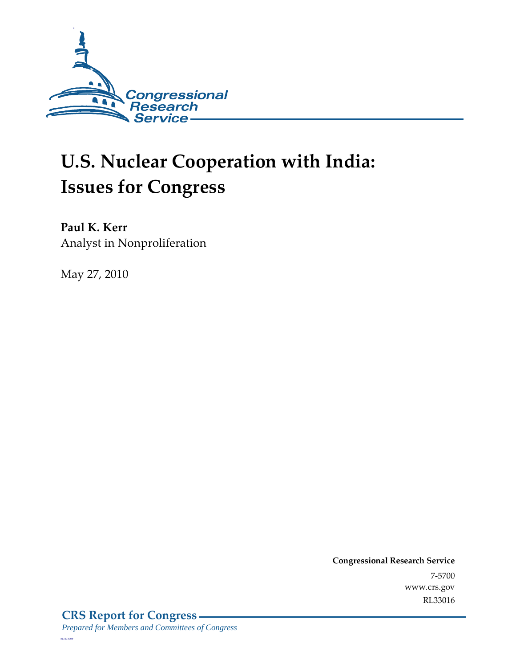

# **U.S. Nuclear Cooperation with India: Issues for Congress**

**Paul K. Kerr**  Analyst in Nonproliferation

May 27, 2010

**Congressional Research Service** 7-5700 www.crs.gov RL33016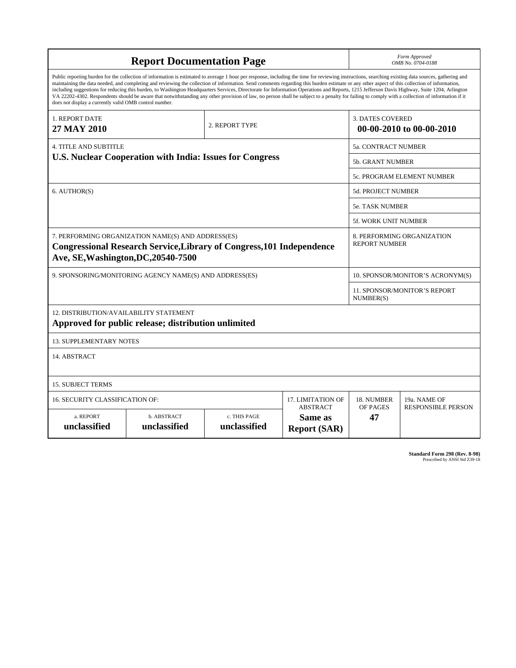| <b>Report Documentation Page</b>                                                                                                                                                                                                                                                                                                                                                                                                                                                                                                                                                                                                                                                                                                                                                                                                                                   |                             |                              |                                                   |                                                     | Form Approved<br>OMB No. 0704-0188               |  |
|--------------------------------------------------------------------------------------------------------------------------------------------------------------------------------------------------------------------------------------------------------------------------------------------------------------------------------------------------------------------------------------------------------------------------------------------------------------------------------------------------------------------------------------------------------------------------------------------------------------------------------------------------------------------------------------------------------------------------------------------------------------------------------------------------------------------------------------------------------------------|-----------------------------|------------------------------|---------------------------------------------------|-----------------------------------------------------|--------------------------------------------------|--|
| Public reporting burden for the collection of information is estimated to average 1 hour per response, including the time for reviewing instructions, searching existing data sources, gathering and<br>maintaining the data needed, and completing and reviewing the collection of information. Send comments regarding this burden estimate or any other aspect of this collection of information,<br>including suggestions for reducing this burden, to Washington Headquarters Services, Directorate for Information Operations and Reports, 1215 Jefferson Davis Highway, Suite 1204, Arlington<br>VA 22202-4302. Respondents should be aware that notwithstanding any other provision of law, no person shall be subject to a penalty for failing to comply with a collection of information if it<br>does not display a currently valid OMB control number. |                             |                              |                                                   |                                                     |                                                  |  |
| 1. REPORT DATE<br>27 MAY 2010                                                                                                                                                                                                                                                                                                                                                                                                                                                                                                                                                                                                                                                                                                                                                                                                                                      | 2. REPORT TYPE              |                              |                                                   | <b>3. DATES COVERED</b><br>00-00-2010 to 00-00-2010 |                                                  |  |
| <b>4. TITLE AND SUBTITLE</b>                                                                                                                                                                                                                                                                                                                                                                                                                                                                                                                                                                                                                                                                                                                                                                                                                                       |                             |                              |                                                   | <b>5a. CONTRACT NUMBER</b>                          |                                                  |  |
| U.S. Nuclear Cooperation with India: Issues for Congress                                                                                                                                                                                                                                                                                                                                                                                                                                                                                                                                                                                                                                                                                                                                                                                                           |                             |                              |                                                   |                                                     | 5b. GRANT NUMBER                                 |  |
|                                                                                                                                                                                                                                                                                                                                                                                                                                                                                                                                                                                                                                                                                                                                                                                                                                                                    |                             |                              |                                                   | 5c. PROGRAM ELEMENT NUMBER                          |                                                  |  |
| 6. AUTHOR(S)                                                                                                                                                                                                                                                                                                                                                                                                                                                                                                                                                                                                                                                                                                                                                                                                                                                       |                             |                              |                                                   |                                                     | 5d. PROJECT NUMBER                               |  |
|                                                                                                                                                                                                                                                                                                                                                                                                                                                                                                                                                                                                                                                                                                                                                                                                                                                                    |                             |                              |                                                   | <b>5e. TASK NUMBER</b>                              |                                                  |  |
|                                                                                                                                                                                                                                                                                                                                                                                                                                                                                                                                                                                                                                                                                                                                                                                                                                                                    |                             |                              |                                                   |                                                     | 5f. WORK UNIT NUMBER                             |  |
| 7. PERFORMING ORGANIZATION NAME(S) AND ADDRESS(ES)<br><b>Congressional Research Service, Library of Congress, 101 Independence</b><br>Ave, SE, Washington, DC, 20540-7500                                                                                                                                                                                                                                                                                                                                                                                                                                                                                                                                                                                                                                                                                          |                             |                              |                                                   | 8. PERFORMING ORGANIZATION<br><b>REPORT NUMBER</b>  |                                                  |  |
| 9. SPONSORING/MONITORING AGENCY NAME(S) AND ADDRESS(ES)                                                                                                                                                                                                                                                                                                                                                                                                                                                                                                                                                                                                                                                                                                                                                                                                            |                             |                              |                                                   |                                                     | 10. SPONSOR/MONITOR'S ACRONYM(S)                 |  |
|                                                                                                                                                                                                                                                                                                                                                                                                                                                                                                                                                                                                                                                                                                                                                                                                                                                                    |                             |                              |                                                   |                                                     | <b>11. SPONSOR/MONITOR'S REPORT</b><br>NUMBER(S) |  |
| 12. DISTRIBUTION/AVAILABILITY STATEMENT<br>Approved for public release; distribution unlimited                                                                                                                                                                                                                                                                                                                                                                                                                                                                                                                                                                                                                                                                                                                                                                     |                             |                              |                                                   |                                                     |                                                  |  |
| <b>13. SUPPLEMENTARY NOTES</b>                                                                                                                                                                                                                                                                                                                                                                                                                                                                                                                                                                                                                                                                                                                                                                                                                                     |                             |                              |                                                   |                                                     |                                                  |  |
| 14. ABSTRACT                                                                                                                                                                                                                                                                                                                                                                                                                                                                                                                                                                                                                                                                                                                                                                                                                                                       |                             |                              |                                                   |                                                     |                                                  |  |
| <b>15. SUBJECT TERMS</b>                                                                                                                                                                                                                                                                                                                                                                                                                                                                                                                                                                                                                                                                                                                                                                                                                                           |                             |                              |                                                   |                                                     |                                                  |  |
| 16. SECURITY CLASSIFICATION OF:                                                                                                                                                                                                                                                                                                                                                                                                                                                                                                                                                                                                                                                                                                                                                                                                                                    | 17. LIMITATION OF           | 18. NUMBER                   | 19a. NAME OF                                      |                                                     |                                                  |  |
| a. REPORT<br>unclassified                                                                                                                                                                                                                                                                                                                                                                                                                                                                                                                                                                                                                                                                                                                                                                                                                                          | b. ABSTRACT<br>unclassified | c. THIS PAGE<br>unclassified | <b>ABSTRACT</b><br>Same as<br><b>Report (SAR)</b> | OF PAGES<br>47                                      | <b>RESPONSIBLE PERSON</b>                        |  |

**Standard Form 298 (Rev. 8-98)**<br>Prescribed by ANSI Std Z39-18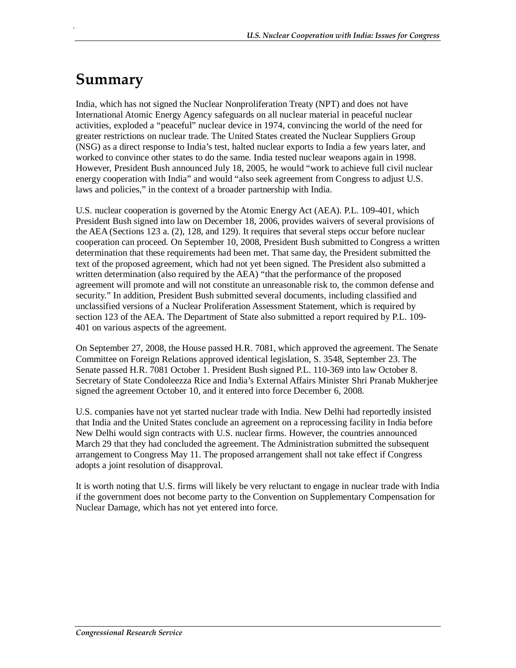# **Summary**

.

India, which has not signed the Nuclear Nonproliferation Treaty (NPT) and does not have International Atomic Energy Agency safeguards on all nuclear material in peaceful nuclear activities, exploded a "peaceful" nuclear device in 1974, convincing the world of the need for greater restrictions on nuclear trade. The United States created the Nuclear Suppliers Group (NSG) as a direct response to India's test, halted nuclear exports to India a few years later, and worked to convince other states to do the same. India tested nuclear weapons again in 1998. However, President Bush announced July 18, 2005, he would "work to achieve full civil nuclear energy cooperation with India" and would "also seek agreement from Congress to adjust U.S. laws and policies," in the context of a broader partnership with India.

U.S. nuclear cooperation is governed by the Atomic Energy Act (AEA). P.L. 109-401, which President Bush signed into law on December 18, 2006, provides waivers of several provisions of the AEA (Sections 123 a. (2), 128, and 129). It requires that several steps occur before nuclear cooperation can proceed. On September 10, 2008, President Bush submitted to Congress a written determination that these requirements had been met. That same day, the President submitted the text of the proposed agreement, which had not yet been signed. The President also submitted a written determination (also required by the AEA) "that the performance of the proposed agreement will promote and will not constitute an unreasonable risk to, the common defense and security." In addition, President Bush submitted several documents, including classified and unclassified versions of a Nuclear Proliferation Assessment Statement, which is required by section 123 of the AEA. The Department of State also submitted a report required by P.L. 109- 401 on various aspects of the agreement.

On September 27, 2008, the House passed H.R. 7081, which approved the agreement. The Senate Committee on Foreign Relations approved identical legislation, S. 3548, September 23. The Senate passed H.R. 7081 October 1. President Bush signed P.L. 110-369 into law October 8. Secretary of State Condoleezza Rice and India's External Affairs Minister Shri Pranab Mukherjee signed the agreement October 10, and it entered into force December 6, 2008.

U.S. companies have not yet started nuclear trade with India. New Delhi had reportedly insisted that India and the United States conclude an agreement on a reprocessing facility in India before New Delhi would sign contracts with U.S. nuclear firms. However, the countries announced March 29 that they had concluded the agreement. The Administration submitted the subsequent arrangement to Congress May 11. The proposed arrangement shall not take effect if Congress adopts a joint resolution of disapproval.

It is worth noting that U.S. firms will likely be very reluctant to engage in nuclear trade with India if the government does not become party to the Convention on Supplementary Compensation for Nuclear Damage, which has not yet entered into force.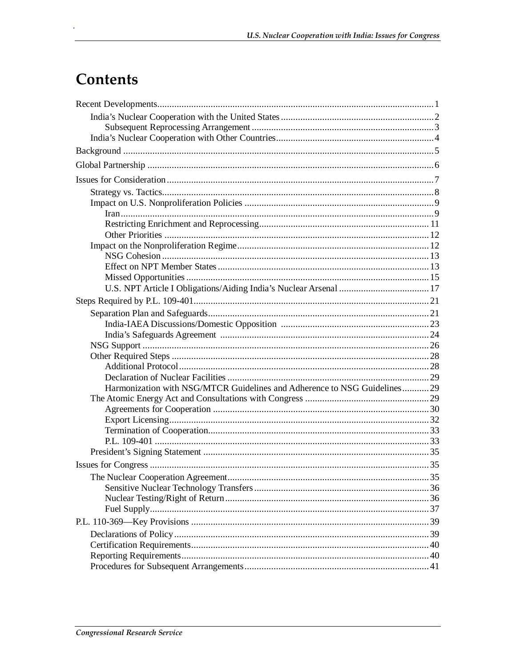# Contents

| Harmonization with NSG/MTCR Guidelines and Adherence to NSG Guidelines29 |  |
|--------------------------------------------------------------------------|--|
|                                                                          |  |
|                                                                          |  |
|                                                                          |  |
|                                                                          |  |
|                                                                          |  |
|                                                                          |  |
|                                                                          |  |
|                                                                          |  |
|                                                                          |  |
|                                                                          |  |
|                                                                          |  |
|                                                                          |  |
|                                                                          |  |
|                                                                          |  |
|                                                                          |  |
|                                                                          |  |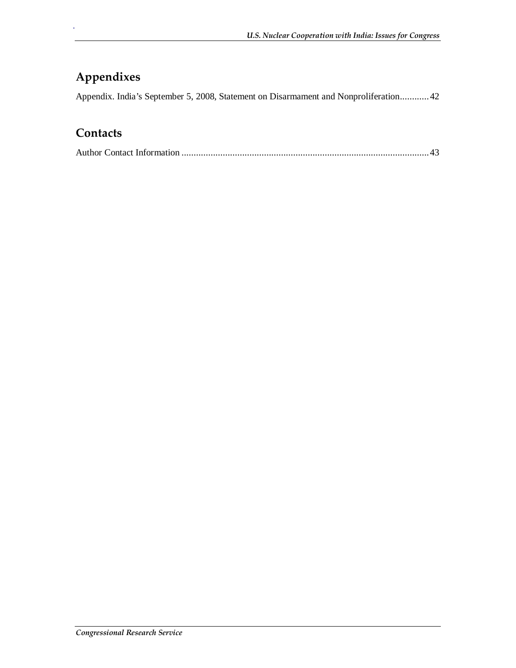# **Appendixes**

.

Appendix. India's September 5, 2008, Statement on Disarmament and Nonproliferation............42

# **Contacts**

|--|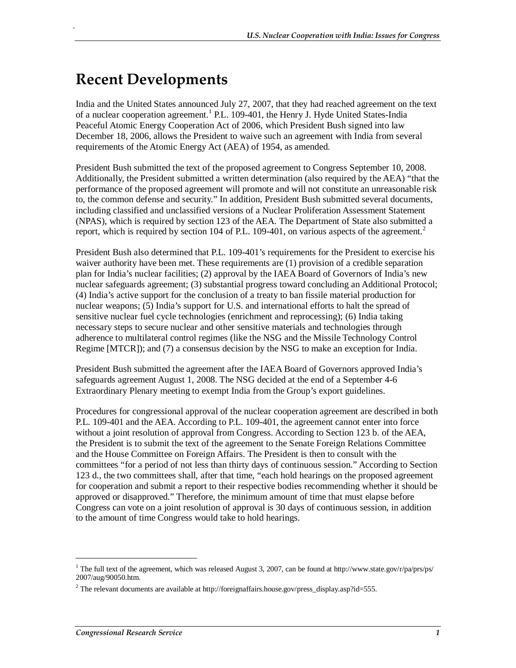# **Recent Developments**

.

India and the United States announced July 27, 2007, that they had reached agreement on the text of a nuclear cooperation agreement.<sup>1</sup> P.L. 109-401, the Henry J. Hyde United States-India Peaceful Atomic Energy Cooperation Act of 2006, which President Bush signed into law December 18, 2006, allows the President to waive such an agreement with India from several requirements of the Atomic Energy Act (AEA) of 1954, as amended.

President Bush submitted the text of the proposed agreement to Congress September 10, 2008. Additionally, the President submitted a written determination (also required by the AEA) "that the performance of the proposed agreement will promote and will not constitute an unreasonable risk to, the common defense and security." In addition, President Bush submitted several documents, including classified and unclassified versions of a Nuclear Proliferation Assessment Statement (NPAS), which is required by section 123 of the AEA. The Department of State also submitted a report, which is required by section 104 of P.L. 109-401, on various aspects of the agreement.<sup>2</sup>

President Bush also determined that P.L. 109-401's requirements for the President to exercise his waiver authority have been met. These requirements are (1) provision of a credible separation plan for India's nuclear facilities; (2) approval by the IAEA Board of Governors of India's new nuclear safeguards agreement; (3) substantial progress toward concluding an Additional Protocol; (4) India's active support for the conclusion of a treaty to ban fissile material production for nuclear weapons; (5) India's support for U.S. and international efforts to halt the spread of sensitive nuclear fuel cycle technologies (enrichment and reprocessing); (6) India taking necessary steps to secure nuclear and other sensitive materials and technologies through adherence to multilateral control regimes (like the NSG and the Missile Technology Control Regime [MTCR]); and (7) a consensus decision by the NSG to make an exception for India.

President Bush submitted the agreement after the IAEA Board of Governors approved India's safeguards agreement August 1, 2008. The NSG decided at the end of a September 4-6 Extraordinary Plenary meeting to exempt India from the Group's export guidelines.

Procedures for congressional approval of the nuclear cooperation agreement are described in both P.L. 109-401 and the AEA. According to P.L. 109-401, the agreement cannot enter into force without a joint resolution of approval from Congress. According to Section 123 b. of the AEA, the President is to submit the text of the agreement to the Senate Foreign Relations Committee and the House Committee on Foreign Affairs. The President is then to consult with the committees "for a period of not less than thirty days of continuous session." According to Section 123 d., the two committees shall, after that time, "each hold hearings on the proposed agreement for cooperation and submit a report to their respective bodies recommending whether it should be approved or disapproved." Therefore, the minimum amount of time that must elapse before Congress can vote on a joint resolution of approval is 30 days of continuous session, in addition to the amount of time Congress would take to hold hearings.

1

<sup>&</sup>lt;sup>1</sup> The full text of the agreement, which was released August 3, 2007, can be found at http://www.state.gov/r/pa/prs/ps/ 2007/aug/90050.htm.

<sup>&</sup>lt;sup>2</sup> The relevant documents are available at http://foreignaffairs.house.gov/press\_display.asp?id=555.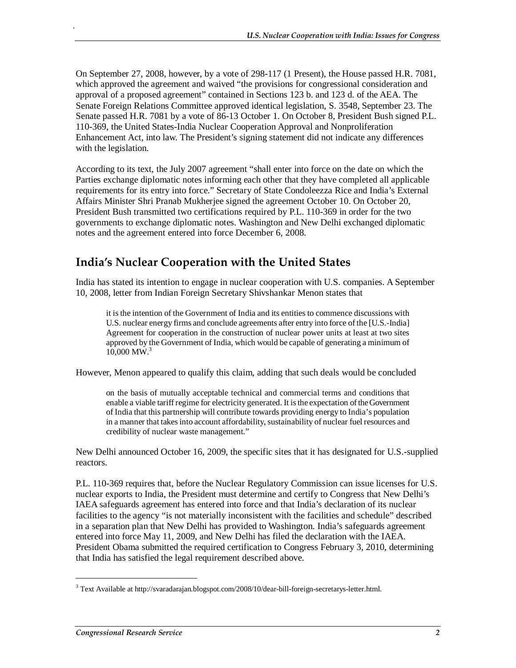On September 27, 2008, however, by a vote of 298-117 (1 Present), the House passed H.R. 7081, which approved the agreement and waived "the provisions for congressional consideration and approval of a proposed agreement" contained in Sections 123 b. and 123 d. of the AEA. The Senate Foreign Relations Committee approved identical legislation, S. 3548, September 23. The Senate passed H.R. 7081 by a vote of 86-13 October 1. On October 8, President Bush signed P.L. 110-369, the United States-India Nuclear Cooperation Approval and Nonproliferation Enhancement Act, into law. The President's signing statement did not indicate any differences with the legislation.

According to its text, the July 2007 agreement "shall enter into force on the date on which the Parties exchange diplomatic notes informing each other that they have completed all applicable requirements for its entry into force." Secretary of State Condoleezza Rice and India's External Affairs Minister Shri Pranab Mukherjee signed the agreement October 10. On October 20, President Bush transmitted two certifications required by P.L. 110-369 in order for the two governments to exchange diplomatic notes. Washington and New Delhi exchanged diplomatic notes and the agreement entered into force December 6, 2008.

# **India's Nuclear Cooperation with the United States**

India has stated its intention to engage in nuclear cooperation with U.S. companies. A September 10, 2008, letter from Indian Foreign Secretary Shivshankar Menon states that

it is the intention of the Government of India and its entities to commence discussions with U.S. nuclear energy firms and conclude agreements after entry into force of the [U.S.-India] Agreement for cooperation in the construction of nuclear power units at least at two sites approved by the Government of India, which would be capable of generating a minimum of 10,000 MW.<sup>3</sup>

However, Menon appeared to qualify this claim, adding that such deals would be concluded

on the basis of mutually acceptable technical and commercial terms and conditions that enable a viable tariff regime for electricity generated. It is the expectation of the Government of India that this partnership will contribute towards providing energy to India's population in a manner that takes into account affordability, sustainability of nuclear fuel resources and credibility of nuclear waste management."

New Delhi announced October 16, 2009, the specific sites that it has designated for U.S.-supplied reactors.

P.L. 110-369 requires that, before the Nuclear Regulatory Commission can issue licenses for U.S. nuclear exports to India, the President must determine and certify to Congress that New Delhi's IAEA safeguards agreement has entered into force and that India's declaration of its nuclear facilities to the agency "is not materially inconsistent with the facilities and schedule" described in a separation plan that New Delhi has provided to Washington. India's safeguards agreement entered into force May 11, 2009, and New Delhi has filed the declaration with the IAEA. President Obama submitted the required certification to Congress February 3, 2010, determining that India has satisfied the legal requirement described above.

1

<sup>&</sup>lt;sup>3</sup> Text Available at http://svaradarajan.blogspot.com/2008/10/dear-bill-foreign-secretarys-letter.html.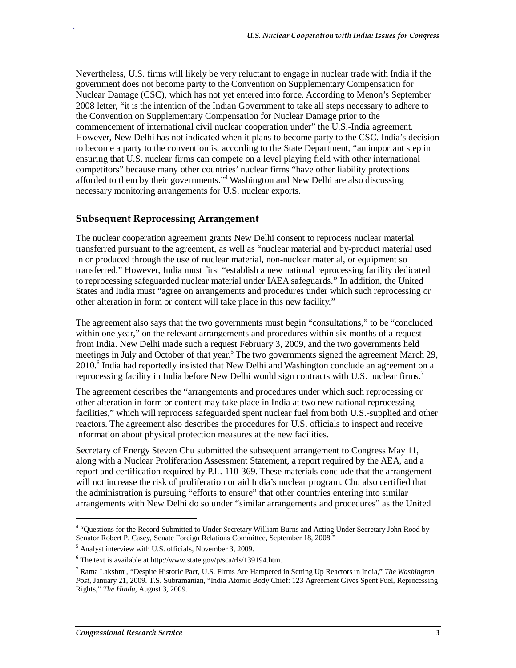Nevertheless, U.S. firms will likely be very reluctant to engage in nuclear trade with India if the government does not become party to the Convention on Supplementary Compensation for Nuclear Damage (CSC), which has not yet entered into force. According to Menon's September 2008 letter, "it is the intention of the Indian Government to take all steps necessary to adhere to the Convention on Supplementary Compensation for Nuclear Damage prior to the commencement of international civil nuclear cooperation under" the U.S.-India agreement. However, New Delhi has not indicated when it plans to become party to the CSC. India's decision to become a party to the convention is, according to the State Department, "an important step in ensuring that U.S. nuclear firms can compete on a level playing field with other international competitors" because many other countries' nuclear firms "have other liability protections afforded to them by their governments."<sup>4</sup> Washington and New Delhi are also discussing necessary monitoring arrangements for U.S. nuclear exports.

#### **Subsequent Reprocessing Arrangement**

The nuclear cooperation agreement grants New Delhi consent to reprocess nuclear material transferred pursuant to the agreement, as well as "nuclear material and by-product material used in or produced through the use of nuclear material, non-nuclear material, or equipment so transferred." However, India must first "establish a new national reprocessing facility dedicated to reprocessing safeguarded nuclear material under IAEA safeguards." In addition, the United States and India must "agree on arrangements and procedures under which such reprocessing or other alteration in form or content will take place in this new facility."

The agreement also says that the two governments must begin "consultations," to be "concluded within one year," on the relevant arrangements and procedures within six months of a request from India. New Delhi made such a request February 3, 2009, and the two governments held meetings in July and October of that year.<sup>5</sup> The two governments signed the agreement March 29, 2010.<sup>6</sup> India had reportedly insisted that New Delhi and Washington conclude an agreement on a reprocessing facility in India before New Delhi would sign contracts with U.S. nuclear firms.<sup>7</sup>

The agreement describes the "arrangements and procedures under which such reprocessing or other alteration in form or content may take place in India at two new national reprocessing facilities," which will reprocess safeguarded spent nuclear fuel from both U.S.-supplied and other reactors. The agreement also describes the procedures for U.S. officials to inspect and receive information about physical protection measures at the new facilities.

Secretary of Energy Steven Chu submitted the subsequent arrangement to Congress May 11, along with a Nuclear Proliferation Assessment Statement, a report required by the AEA, and a report and certification required by P.L. 110-369. These materials conclude that the arrangement will not increase the risk of proliferation or aid India's nuclear program. Chu also certified that the administration is pursuing "efforts to ensure" that other countries entering into similar arrangements with New Delhi do so under "similar arrangements and procedures" as the United

1

<sup>&</sup>lt;sup>4</sup> "Questions for the Record Submitted to Under Secretary William Burns and Acting Under Secretary John Rood by Senator Robert P. Casey, Senate Foreign Relations Committee, September 18, 2008."

<sup>5</sup> Analyst interview with U.S. officials, November 3, 2009.

 $6$  The text is available at http://www.state.gov/p/sca/rls/139194.htm.

<sup>7</sup> Rama Lakshmi, "Despite Historic Pact, U.S. Firms Are Hampered in Setting Up Reactors in India," *The Washington Post*, January 21, 2009. T.S. Subramanian, "India Atomic Body Chief: 123 Agreement Gives Spent Fuel, Reprocessing Rights," *The Hindu*, August 3, 2009.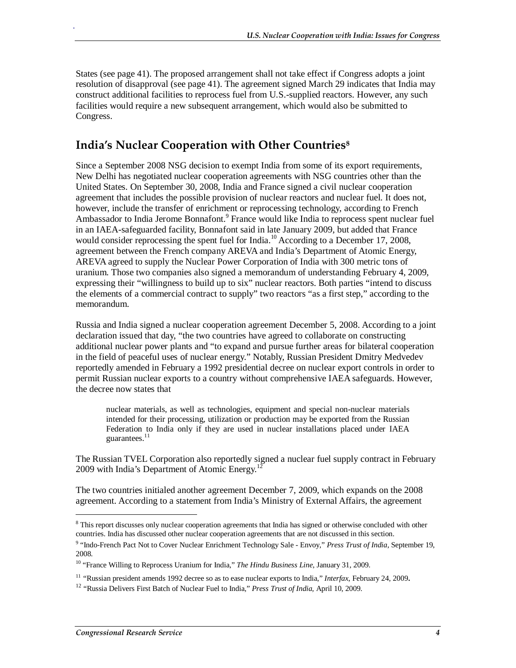States (see page 41). The proposed arrangement shall not take effect if Congress adopts a joint resolution of disapproval (see page 41). The agreement signed March 29 indicates that India may construct additional facilities to reprocess fuel from U.S.-supplied reactors. However, any such facilities would require a new subsequent arrangement, which would also be submitted to Congress.

## **India's Nuclear Cooperation with Other Countries8**

Since a September 2008 NSG decision to exempt India from some of its export requirements, New Delhi has negotiated nuclear cooperation agreements with NSG countries other than the United States. On September 30, 2008, India and France signed a civil nuclear cooperation agreement that includes the possible provision of nuclear reactors and nuclear fuel. It does not, however, include the transfer of enrichment or reprocessing technology, according to French Ambassador to India Jerome Bonnafont.<sup>9</sup> France would like India to reprocess spent nuclear fuel in an IAEA-safeguarded facility, Bonnafont said in late January 2009, but added that France would consider reprocessing the spent fuel for India.<sup>10</sup> According to a December 17, 2008, agreement between the French company AREVA and India's Department of Atomic Energy, AREVA agreed to supply the Nuclear Power Corporation of India with 300 metric tons of uranium. Those two companies also signed a memorandum of understanding February 4, 2009, expressing their "willingness to build up to six" nuclear reactors. Both parties "intend to discuss the elements of a commercial contract to supply" two reactors "as a first step," according to the memorandum.

Russia and India signed a nuclear cooperation agreement December 5, 2008. According to a joint declaration issued that day, "the two countries have agreed to collaborate on constructing additional nuclear power plants and "to expand and pursue further areas for bilateral cooperation in the field of peaceful uses of nuclear energy." Notably, Russian President Dmitry Medvedev reportedly amended in February a 1992 presidential decree on nuclear export controls in order to permit Russian nuclear exports to a country without comprehensive IAEA safeguards. However, the decree now states that

nuclear materials, as well as technologies, equipment and special non-nuclear materials intended for their processing, utilization or production may be exported from the Russian Federation to India only if they are used in nuclear installations placed under IAEA guarantees. $11$ 

The Russian TVEL Corporation also reportedly signed a nuclear fuel supply contract in February 2009 with India's Department of Atomic Energy.<sup>1</sup>

The two countries initialed another agreement December 7, 2009, which expands on the 2008 agreement. According to a statement from India's Ministry of External Affairs, the agreement

1

<sup>&</sup>lt;sup>8</sup> This report discusses only nuclear cooperation agreements that India has signed or otherwise concluded with other countries. India has discussed other nuclear cooperation agreements that are not discussed in this section.

<sup>&</sup>lt;sup>9</sup> "Indo-French Pact Not to Cover Nuclear Enrichment Technology Sale - Envoy," Press Trust of India, September 19, 2008.

<sup>&</sup>lt;sup>10</sup> "France Willing to Reprocess Uranium for India," *The Hindu Business Line*, January 31, 2009.

<sup>&</sup>lt;sup>11</sup> "Russian president amends 1992 decree so as to ease nuclear exports to India," *Interfax*, February 24, 2009.<br><sup>12</sup> "Russia Delivers First Batch of Nuclear Fuel to India," *Press Trust of India*, April 10, 2009.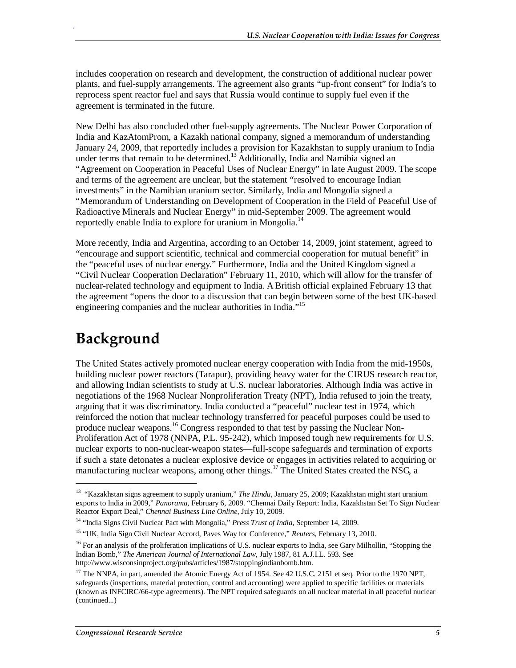includes cooperation on research and development, the construction of additional nuclear power plants, and fuel-supply arrangements. The agreement also grants "up-front consent" for India's to reprocess spent reactor fuel and says that Russia would continue to supply fuel even if the agreement is terminated in the future.

New Delhi has also concluded other fuel-supply agreements. The Nuclear Power Corporation of India and KazAtomProm, a Kazakh national company, signed a memorandum of understanding January 24, 2009, that reportedly includes a provision for Kazakhstan to supply uranium to India under terms that remain to be determined.<sup>13</sup> Additionally, India and Namibia signed an "Agreement on Cooperation in Peaceful Uses of Nuclear Energy" in late August 2009. The scope and terms of the agreement are unclear, but the statement "resolved to encourage Indian investments" in the Namibian uranium sector. Similarly, India and Mongolia signed a "Memorandum of Understanding on Development of Cooperation in the Field of Peaceful Use of Radioactive Minerals and Nuclear Energy" in mid-September 2009. The agreement would reportedly enable India to explore for uranium in Mongolia.<sup>14</sup>

More recently, India and Argentina, according to an October 14, 2009, joint statement, agreed to "encourage and support scientific, technical and commercial cooperation for mutual benefit" in the "peaceful uses of nuclear energy." Furthermore, India and the United Kingdom signed a "Civil Nuclear Cooperation Declaration" February 11, 2010, which will allow for the transfer of nuclear-related technology and equipment to India. A British official explained February 13 that the agreement "opens the door to a discussion that can begin between some of the best UK-based engineering companies and the nuclear authorities in India."<sup>15</sup>

# **Background**

1

.

The United States actively promoted nuclear energy cooperation with India from the mid-1950s, building nuclear power reactors (Tarapur), providing heavy water for the CIRUS research reactor, and allowing Indian scientists to study at U.S. nuclear laboratories. Although India was active in negotiations of the 1968 Nuclear Nonproliferation Treaty (NPT), India refused to join the treaty, arguing that it was discriminatory. India conducted a "peaceful" nuclear test in 1974, which reinforced the notion that nuclear technology transferred for peaceful purposes could be used to produce nuclear weapons.16 Congress responded to that test by passing the Nuclear Non-Proliferation Act of 1978 (NNPA, P.L. 95-242), which imposed tough new requirements for U.S. nuclear exports to non-nuclear-weapon states—full-scope safeguards and termination of exports if such a state detonates a nuclear explosive device or engages in activities related to acquiring or manufacturing nuclear weapons, among other things.<sup>17</sup> The United States created the NSG, a

<sup>13 &</sup>quot;Kazakhstan signs agreement to supply uranium," *The Hindu*, January 25, 2009; Kazakhstan might start uranium exports to India in 2009," *Panorama*, February 6, 2009. "Chennai Daily Report: India, Kazakhstan Set To Sign Nuclear Reactor Export Deal," *Chennai Business Line Online*, July 10, 2009.

<sup>14 &</sup>quot;India Signs Civil Nuclear Pact with Mongolia," *Press Trust of India*, September 14, 2009.

<sup>15 &</sup>quot;UK, India Sign Civil Nuclear Accord, Paves Way for Conference," *Reuters*, February 13, 2010.

<sup>&</sup>lt;sup>16</sup> For an analysis of the proliferation implications of U.S. nuclear exports to India, see Gary Milhollin, "Stopping the Indian Bomb," *The American Journal of International Law*, July 1987, 81 A.J.I.L. 593. See http://www.wisconsinproject.org/pubs/articles/1987/stoppingindianbomb.htm.

<sup>&</sup>lt;sup>17</sup> The NNPA, in part, amended the Atomic Energy Act of 1954. See 42 U.S.C. 2151 et seq. Prior to the 1970 NPT, safeguards (inspections, material protection, control and accounting) were applied to specific facilities or materials (known as INFCIRC/66-type agreements). The NPT required safeguards on all nuclear material in all peaceful nuclear (continued...)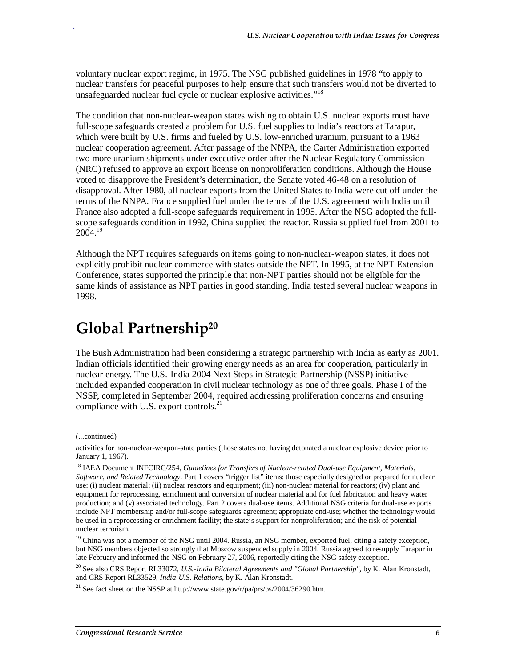voluntary nuclear export regime, in 1975. The NSG published guidelines in 1978 "to apply to nuclear transfers for peaceful purposes to help ensure that such transfers would not be diverted to unsafeguarded nuclear fuel cycle or nuclear explosive activities."<sup>18</sup>

The condition that non-nuclear-weapon states wishing to obtain U.S. nuclear exports must have full-scope safeguards created a problem for U.S. fuel supplies to India's reactors at Tarapur, which were built by U.S. firms and fueled by U.S. low-enriched uranium, pursuant to a 1963 nuclear cooperation agreement. After passage of the NNPA, the Carter Administration exported two more uranium shipments under executive order after the Nuclear Regulatory Commission (NRC) refused to approve an export license on nonproliferation conditions. Although the House voted to disapprove the President's determination, the Senate voted 46-48 on a resolution of disapproval. After 1980, all nuclear exports from the United States to India were cut off under the terms of the NNPA. France supplied fuel under the terms of the U.S. agreement with India until France also adopted a full-scope safeguards requirement in 1995. After the NSG adopted the fullscope safeguards condition in 1992, China supplied the reactor. Russia supplied fuel from 2001 to  $2004.<sup>19</sup>$ 

Although the NPT requires safeguards on items going to non-nuclear-weapon states, it does not explicitly prohibit nuclear commerce with states outside the NPT. In 1995, at the NPT Extension Conference, states supported the principle that non-NPT parties should not be eligible for the same kinds of assistance as NPT parties in good standing. India tested several nuclear weapons in 1998.

# **Global Partnership20**

The Bush Administration had been considering a strategic partnership with India as early as 2001. Indian officials identified their growing energy needs as an area for cooperation, particularly in nuclear energy. The U.S.-India 2004 Next Steps in Strategic Partnership (NSSP) initiative included expanded cooperation in civil nuclear technology as one of three goals. Phase I of the NSSP, completed in September 2004, required addressing proliferation concerns and ensuring compliance with U.S. export controls.<sup>21</sup>

1

<sup>(...</sup>continued)

activities for non-nuclear-weapon-state parties (those states not having detonated a nuclear explosive device prior to January 1, 1967).

<sup>18</sup> IAEA Document INFCIRC/254, *Guidelines for Transfers of Nuclear-related Dual-use Equipment, Materials, Software, and Related Technology*. Part 1 covers "trigger list" items: those especially designed or prepared for nuclear use: (i) nuclear material; (ii) nuclear reactors and equipment; (iii) non-nuclear material for reactors; (iv) plant and equipment for reprocessing, enrichment and conversion of nuclear material and for fuel fabrication and heavy water production; and (v) associated technology. Part 2 covers dual-use items. Additional NSG criteria for dual-use exports include NPT membership and/or full-scope safeguards agreement; appropriate end-use; whether the technology would be used in a reprocessing or enrichment facility; the state's support for nonproliferation; and the risk of potential nuclear terrorism.

<sup>&</sup>lt;sup>19</sup> China was not a member of the NSG until 2004. Russia, an NSG member, exported fuel, citing a safety exception, but NSG members objected so strongly that Moscow suspended supply in 2004. Russia agreed to resupply Tarapur in late February and informed the NSG on February 27, 2006, reportedly citing the NSG safety exception.

<sup>20</sup> See also CRS Report RL33072, *U.S.-India Bilateral Agreements and "Global Partnership"*, by K. Alan Kronstadt, and CRS Report RL33529, *India-U.S. Relations*, by K. Alan Kronstadt.

<sup>&</sup>lt;sup>21</sup> See fact sheet on the NSSP at http://www.state.gov/r/pa/prs/ps/2004/36290.htm.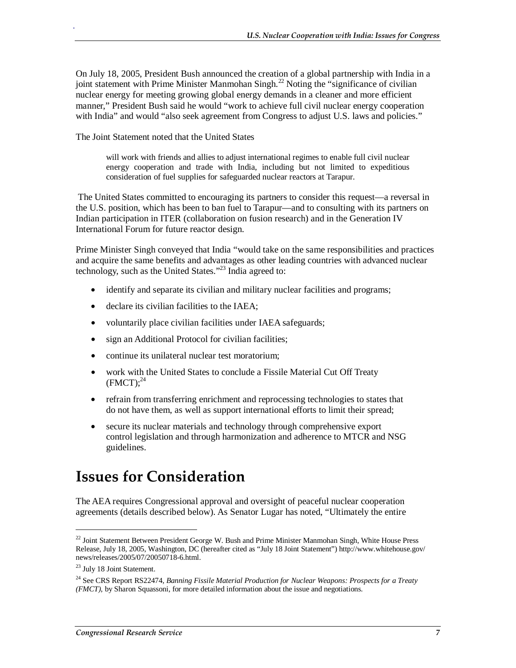On July 18, 2005, President Bush announced the creation of a global partnership with India in a joint statement with Prime Minister Manmohan Singh.<sup>22</sup> Noting the "significance of civilian" nuclear energy for meeting growing global energy demands in a cleaner and more efficient manner," President Bush said he would "work to achieve full civil nuclear energy cooperation with India" and would "also seek agreement from Congress to adjust U.S. laws and policies."

The Joint Statement noted that the United States

will work with friends and allies to adjust international regimes to enable full civil nuclear energy cooperation and trade with India, including but not limited to expeditious consideration of fuel supplies for safeguarded nuclear reactors at Tarapur.

 The United States committed to encouraging its partners to consider this request—a reversal in the U.S. position, which has been to ban fuel to Tarapur—and to consulting with its partners on Indian participation in ITER (collaboration on fusion research) and in the Generation IV International Forum for future reactor design.

Prime Minister Singh conveyed that India "would take on the same responsibilities and practices and acquire the same benefits and advantages as other leading countries with advanced nuclear technology, such as the United States."<sup>23</sup> India agreed to:

- identify and separate its civilian and military nuclear facilities and programs;
- declare its civilian facilities to the IAEA;
- voluntarily place civilian facilities under IAEA safeguards;
- sign an Additional Protocol for civilian facilities;
- continue its unilateral nuclear test moratorium;
- work with the United States to conclude a Fissile Material Cut Off Treaty  $(FMCT):<sup>24</sup>$
- refrain from transferring enrichment and reprocessing technologies to states that do not have them, as well as support international efforts to limit their spread;
- secure its nuclear materials and technology through comprehensive export control legislation and through harmonization and adherence to MTCR and NSG guidelines.

# **Issues for Consideration**

The AEA requires Congressional approval and oversight of peaceful nuclear cooperation agreements (details described below). As Senator Lugar has noted, "Ultimately the entire

1

<sup>&</sup>lt;sup>22</sup> Joint Statement Between President George W. Bush and Prime Minister Manmohan Singh, White House Press Release, July 18, 2005, Washington, DC (hereafter cited as "July 18 Joint Statement") http://www.whitehouse.gov/ news/releases/2005/07/20050718-6.html.

<sup>23</sup> July 18 Joint Statement.

<sup>24</sup> See CRS Report RS22474, *Banning Fissile Material Production for Nuclear Weapons: Prospects for a Treaty (FMCT)*, by Sharon Squassoni, for more detailed information about the issue and negotiations.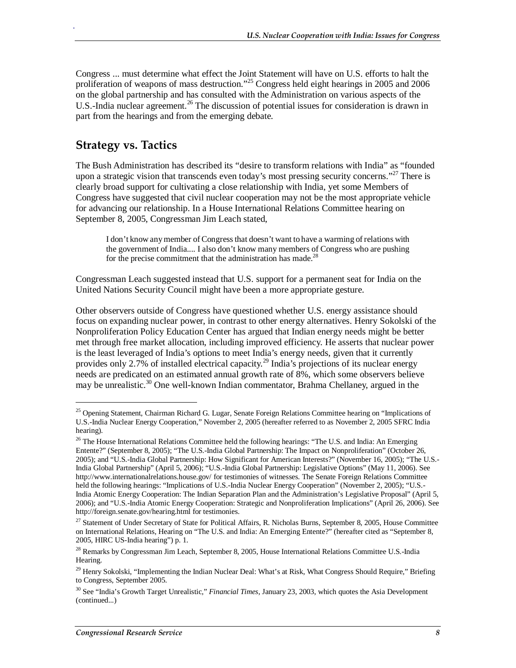Congress ... must determine what effect the Joint Statement will have on U.S. efforts to halt the proliferation of weapons of mass destruction."<sup>25</sup> Congress held eight hearings in 2005 and 2006 on the global partnership and has consulted with the Administration on various aspects of the U.S.-India nuclear agreement.<sup>26</sup> The discussion of potential issues for consideration is drawn in part from the hearings and from the emerging debate.

#### **Strategy vs. Tactics**

.

The Bush Administration has described its "desire to transform relations with India" as "founded upon a strategic vision that transcends even today's most pressing security concerns."<sup>27</sup> There is clearly broad support for cultivating a close relationship with India, yet some Members of Congress have suggested that civil nuclear cooperation may not be the most appropriate vehicle for advancing our relationship. In a House International Relations Committee hearing on September 8, 2005, Congressman Jim Leach stated,

I don't know any member of Congress that doesn't want to have a warming of relations with the government of India.... I also don't know many members of Congress who are pushing for the precise commitment that the administration has made.<sup>28</sup>

Congressman Leach suggested instead that U.S. support for a permanent seat for India on the United Nations Security Council might have been a more appropriate gesture.

Other observers outside of Congress have questioned whether U.S. energy assistance should focus on expanding nuclear power, in contrast to other energy alternatives. Henry Sokolski of the Nonproliferation Policy Education Center has argued that Indian energy needs might be better met through free market allocation, including improved efficiency. He asserts that nuclear power is the least leveraged of India's options to meet India's energy needs, given that it currently provides only 2.7% of installed electrical capacity.<sup>29</sup> India's projections of its nuclear energy needs are predicated on an estimated annual growth rate of 8%, which some observers believe may be unrealistic.<sup>30</sup> One well-known Indian commentator, Brahma Chellaney, argued in the

1

<sup>&</sup>lt;sup>25</sup> Opening Statement, Chairman Richard G. Lugar, Senate Foreign Relations Committee hearing on "Implications of U.S.-India Nuclear Energy Cooperation," November 2, 2005 (hereafter referred to as November 2, 2005 SFRC India hearing).

<sup>&</sup>lt;sup>26</sup> The House International Relations Committee held the following hearings: "The U.S. and India: An Emerging Entente?" (September 8, 2005); "The U.S.-India Global Partnership: The Impact on Nonproliferation" (October 26, 2005); and "U.S.-India Global Partnership: How Significant for American Interests?" (November 16, 2005); "The U.S.- India Global Partnership" (April 5, 2006); "U.S.-India Global Partnership: Legislative Options" (May 11, 2006). See http://www.internationalrelations.house.gov/ for testimonies of witnesses. The Senate Foreign Relations Committee held the following hearings: "Implications of U.S.-India Nuclear Energy Cooperation" (November 2, 2005); "U.S.- India Atomic Energy Cooperation: The Indian Separation Plan and the Administration's Legislative Proposal" (April 5, 2006); and "U.S.-India Atomic Energy Cooperation: Strategic and Nonproliferation Implications" (April 26, 2006). See http://foreign.senate.gov/hearing.html for testimonies.

<sup>&</sup>lt;sup>27</sup> Statement of Under Secretary of State for Political Affairs, R. Nicholas Burns, September 8, 2005, House Committee on International Relations, Hearing on "The U.S. and India: An Emerging Entente?" (hereafter cited as "September 8, 2005, HIRC US-India hearing") p. 1.

<sup>&</sup>lt;sup>28</sup> Remarks by Congressman Jim Leach, September 8, 2005, House International Relations Committee U.S.-India Hearing.

<sup>&</sup>lt;sup>29</sup> Henry Sokolski, "Implementing the Indian Nuclear Deal: What's at Risk, What Congress Should Require," Briefing to Congress, September 2005.

<sup>30</sup> See "India's Growth Target Unrealistic," *Financial Times*, January 23, 2003, which quotes the Asia Development (continued...)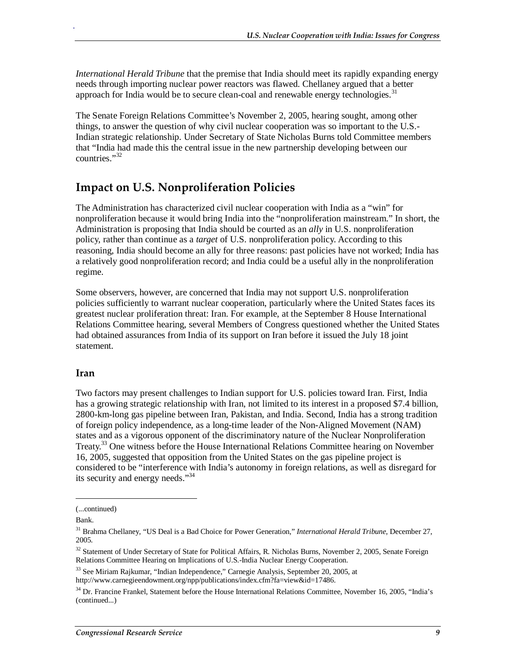*International Herald Tribune* that the premise that India should meet its rapidly expanding energy needs through importing nuclear power reactors was flawed. Chellaney argued that a better approach for India would be to secure clean-coal and renewable energy technologies. $31$ 

The Senate Foreign Relations Committee's November 2, 2005, hearing sought, among other things, to answer the question of why civil nuclear cooperation was so important to the U.S.- Indian strategic relationship. Under Secretary of State Nicholas Burns told Committee members that "India had made this the central issue in the new partnership developing between our countries."<sup>32</sup>

## **Impact on U.S. Nonproliferation Policies**

The Administration has characterized civil nuclear cooperation with India as a "win" for nonproliferation because it would bring India into the "nonproliferation mainstream." In short, the Administration is proposing that India should be courted as an *ally* in U.S. nonproliferation policy, rather than continue as a *target* of U.S. nonproliferation policy. According to this reasoning, India should become an ally for three reasons: past policies have not worked; India has a relatively good nonproliferation record; and India could be a useful ally in the nonproliferation regime.

Some observers, however, are concerned that India may not support U.S. nonproliferation policies sufficiently to warrant nuclear cooperation, particularly where the United States faces its greatest nuclear proliferation threat: Iran. For example, at the September 8 House International Relations Committee hearing, several Members of Congress questioned whether the United States had obtained assurances from India of its support on Iran before it issued the July 18 joint statement.

#### **Iran**

.

Two factors may present challenges to Indian support for U.S. policies toward Iran. First, India has a growing strategic relationship with Iran, not limited to its interest in a proposed \$7.4 billion, 2800-km-long gas pipeline between Iran, Pakistan, and India. Second, India has a strong tradition of foreign policy independence, as a long-time leader of the Non-Aligned Movement (NAM) states and as a vigorous opponent of the discriminatory nature of the Nuclear Nonproliferation Treaty.<sup>33</sup> One witness before the House International Relations Committee hearing on November 16, 2005, suggested that opposition from the United States on the gas pipeline project is considered to be "interference with India's autonomy in foreign relations, as well as disregard for its security and energy needs."<sup>34</sup>

<u>.</u>

<sup>(...</sup>continued)

Bank.

<sup>31</sup> Brahma Chellaney, "US Deal is a Bad Choice for Power Generation," *International Herald Tribune*, December 27, 2005.

<sup>&</sup>lt;sup>32</sup> Statement of Under Secretary of State for Political Affairs, R. Nicholas Burns, November 2, 2005, Senate Foreign Relations Committee Hearing on Implications of U.S.-India Nuclear Energy Cooperation.

<sup>&</sup>lt;sup>33</sup> See Miriam Rajkumar, "Indian Independence," Carnegie Analysis, September 20, 2005, at http://www.carnegieendowment.org/npp/publications/index.cfm?fa=view&id=17486.

<sup>&</sup>lt;sup>34</sup> Dr. Francine Frankel, Statement before the House International Relations Committee, November 16, 2005, "India's (continued...)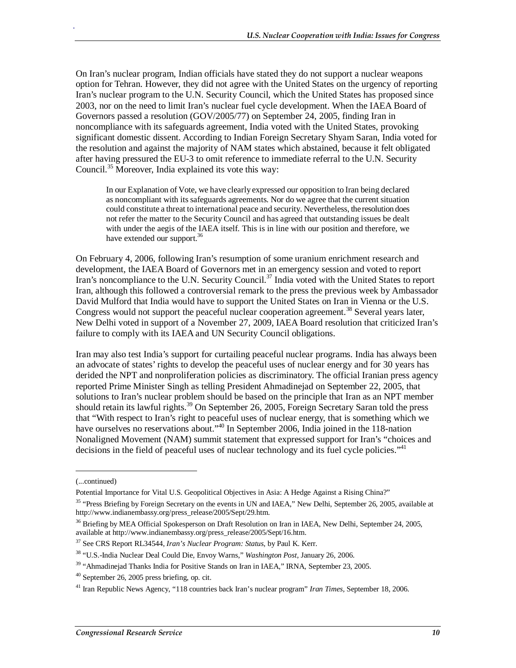On Iran's nuclear program, Indian officials have stated they do not support a nuclear weapons option for Tehran. However, they did not agree with the United States on the urgency of reporting Iran's nuclear program to the U.N. Security Council, which the United States has proposed since 2003, nor on the need to limit Iran's nuclear fuel cycle development. When the IAEA Board of Governors passed a resolution (GOV/2005/77) on September 24, 2005, finding Iran in noncompliance with its safeguards agreement, India voted with the United States, provoking significant domestic dissent. According to Indian Foreign Secretary Shyam Saran, India voted for the resolution and against the majority of NAM states which abstained, because it felt obligated after having pressured the EU-3 to omit reference to immediate referral to the U.N. Security Council.<sup>35</sup> Moreover, India explained its vote this way:

In our Explanation of Vote, we have clearly expressed our opposition to Iran being declared as noncompliant with its safeguards agreements. Nor do we agree that the current situation could constitute a threat to international peace and security. Nevertheless, the resolution does not refer the matter to the Security Council and has agreed that outstanding issues be dealt with under the aegis of the IAEA itself. This is in line with our position and therefore, we have extended our support.<sup>36</sup>

On February 4, 2006, following Iran's resumption of some uranium enrichment research and development, the IAEA Board of Governors met in an emergency session and voted to report Iran's noncompliance to the U.N. Security Council.<sup>37</sup> India voted with the United States to report Iran, although this followed a controversial remark to the press the previous week by Ambassador David Mulford that India would have to support the United States on Iran in Vienna or the U.S. Congress would not support the peaceful nuclear cooperation agreement.<sup>38</sup> Several years later, New Delhi voted in support of a November 27, 2009, IAEA Board resolution that criticized Iran's failure to comply with its IAEA and UN Security Council obligations.

Iran may also test India's support for curtailing peaceful nuclear programs. India has always been an advocate of states' rights to develop the peaceful uses of nuclear energy and for 30 years has derided the NPT and nonproliferation policies as discriminatory. The official Iranian press agency reported Prime Minister Singh as telling President Ahmadinejad on September 22, 2005, that solutions to Iran's nuclear problem should be based on the principle that Iran as an NPT member should retain its lawful rights.<sup>39</sup> On September 26, 2005, Foreign Secretary Saran told the press that "With respect to Iran's right to peaceful uses of nuclear energy, that is something which we have ourselves no reservations about."<sup>40</sup> In September 2006, India joined in the 118-nation Nonaligned Movement (NAM) summit statement that expressed support for Iran's "choices and decisions in the field of peaceful uses of nuclear technology and its fuel cycle policies."<sup>41</sup>

<u>.</u>

<sup>(...</sup>continued)

Potential Importance for Vital U.S. Geopolitical Objectives in Asia: A Hedge Against a Rising China?"

<sup>&</sup>lt;sup>35</sup> "Press Briefing by Foreign Secretary on the events in UN and IAEA," New Delhi, September 26, 2005, available at http://www.indianembassy.org/press\_release/2005/Sept/29.htm.

<sup>&</sup>lt;sup>36</sup> Briefing by MEA Official Spokesperson on Draft Resolution on Iran in IAEA, New Delhi, September 24, 2005, available at http://www.indianembassy.org/press\_release/2005/Sept/16.htm.

<sup>37</sup> See CRS Report RL34544, *Iran's Nuclear Program: Status*, by Paul K. Kerr.

<sup>38 &</sup>quot;U.S.-India Nuclear Deal Could Die, Envoy Warns," *Washington Post*, January 26, 2006.

<sup>&</sup>lt;sup>39</sup> "Ahmadinejad Thanks India for Positive Stands on Iran in IAEA," IRNA, September 23, 2005.

 $40$  September 26, 2005 press briefing, op. cit.

<sup>41</sup> Iran Republic News Agency, "118 countries back Iran's nuclear program" *Iran Times,* September 18, 2006.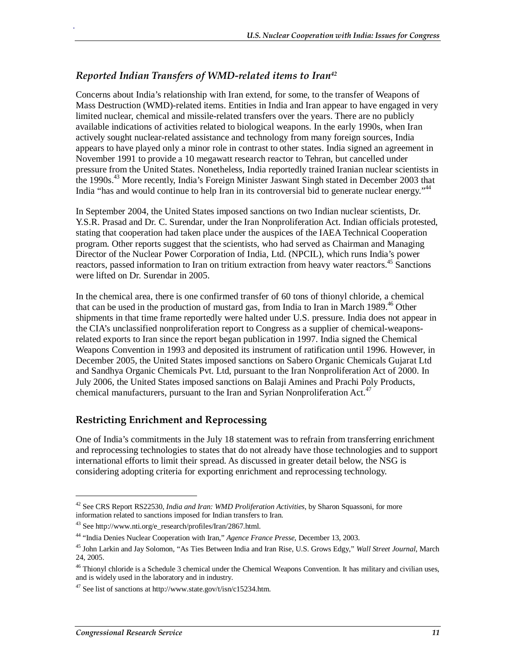#### *Reported Indian Transfers of WMD-related items to Iran42*

Concerns about India's relationship with Iran extend, for some, to the transfer of Weapons of Mass Destruction (WMD)-related items. Entities in India and Iran appear to have engaged in very limited nuclear, chemical and missile-related transfers over the years. There are no publicly available indications of activities related to biological weapons. In the early 1990s, when Iran actively sought nuclear-related assistance and technology from many foreign sources, India appears to have played only a minor role in contrast to other states. India signed an agreement in November 1991 to provide a 10 megawatt research reactor to Tehran, but cancelled under pressure from the United States. Nonetheless, India reportedly trained Iranian nuclear scientists in the 1990s.<sup>43</sup> More recently, India's Foreign Minister Jaswant Singh stated in December 2003 that India "has and would continue to help Iran in its controversial bid to generate nuclear energy."<sup>44</sup>

In September 2004, the United States imposed sanctions on two Indian nuclear scientists, Dr. Y.S.R. Prasad and Dr. C. Surendar, under the Iran Nonproliferation Act. Indian officials protested, stating that cooperation had taken place under the auspices of the IAEA Technical Cooperation program. Other reports suggest that the scientists, who had served as Chairman and Managing Director of the Nuclear Power Corporation of India, Ltd. (NPCIL), which runs India's power reactors, passed information to Iran on tritium extraction from heavy water reactors.<sup>45</sup> Sanctions were lifted on Dr. Surendar in 2005.

In the chemical area, there is one confirmed transfer of 60 tons of thionyl chloride, a chemical that can be used in the production of mustard gas, from India to Iran in March 1989.<sup>46</sup> Other shipments in that time frame reportedly were halted under U.S. pressure. India does not appear in the CIA's unclassified nonproliferation report to Congress as a supplier of chemical-weaponsrelated exports to Iran since the report began publication in 1997. India signed the Chemical Weapons Convention in 1993 and deposited its instrument of ratification until 1996. However, in December 2005, the United States imposed sanctions on Sabero Organic Chemicals Gujarat Ltd and Sandhya Organic Chemicals Pvt. Ltd, pursuant to the Iran Nonproliferation Act of 2000. In July 2006, the United States imposed sanctions on Balaji Amines and Prachi Poly Products, chemical manufacturers, pursuant to the Iran and Syrian Nonproliferation Act.<sup>47</sup>

#### **Restricting Enrichment and Reprocessing**

One of India's commitments in the July 18 statement was to refrain from transferring enrichment and reprocessing technologies to states that do not already have those technologies and to support international efforts to limit their spread. As discussed in greater detail below, the NSG is considering adopting criteria for exporting enrichment and reprocessing technology.

1

<sup>42</sup> See CRS Report RS22530, *India and Iran: WMD Proliferation Activities*, by Sharon Squassoni, for more information related to sanctions imposed for Indian transfers to Iran.

 $^{43}$  See http://www.nti.org/e\_research/profiles/Iran/2867.html.

<sup>44 &</sup>quot;India Denies Nuclear Cooperation with Iran," *Agence France Presse*, December 13, 2003.

<sup>45</sup> John Larkin and Jay Solomon, "As Ties Between India and Iran Rise, U.S. Grows Edgy," *Wall Street Journal*, March 24, 2005.

<sup>&</sup>lt;sup>46</sup> Thionyl chloride is a Schedule 3 chemical under the Chemical Weapons Convention. It has military and civilian uses, and is widely used in the laboratory and in industry.

 $47$  See list of sanctions at http://www.state.gov/t/isn/c15234.htm.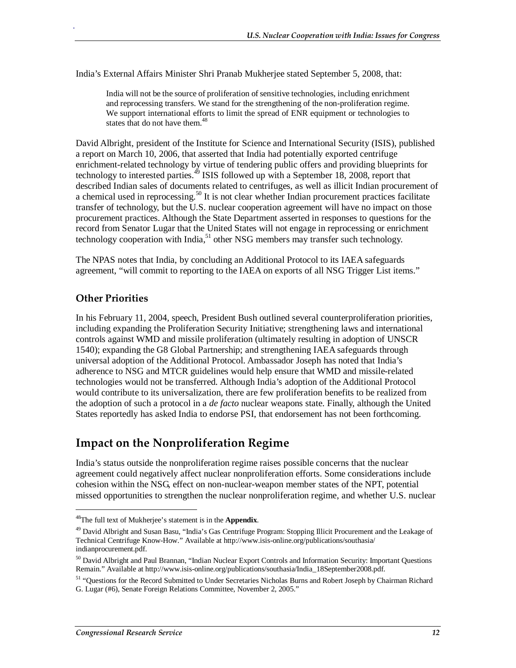India's External Affairs Minister Shri Pranab Mukherjee stated September 5, 2008, that:

India will not be the source of proliferation of sensitive technologies, including enrichment and reprocessing transfers. We stand for the strengthening of the non-proliferation regime. We support international efforts to limit the spread of ENR equipment or technologies to states that do not have them.<sup>48</sup>

David Albright, president of the Institute for Science and International Security (ISIS), published a report on March 10, 2006, that asserted that India had potentially exported centrifuge enrichment-related technology by virtue of tendering public offers and providing blueprints for technology to interested parties.<sup>49</sup> ISIS followed up with a September 18, 2008, report that described Indian sales of documents related to centrifuges, as well as illicit Indian procurement of a chemical used in reprocessing.<sup>50</sup> It is not clear whether Indian procurement practices facilitate transfer of technology, but the U.S. nuclear cooperation agreement will have no impact on those procurement practices. Although the State Department asserted in responses to questions for the record from Senator Lugar that the United States will not engage in reprocessing or enrichment technology cooperation with India, $51$  other NSG members may transfer such technology.

The NPAS notes that India, by concluding an Additional Protocol to its IAEA safeguards agreement, "will commit to reporting to the IAEA on exports of all NSG Trigger List items."

#### **Other Priorities**

.

In his February 11, 2004, speech, President Bush outlined several counterproliferation priorities, including expanding the Proliferation Security Initiative; strengthening laws and international controls against WMD and missile proliferation (ultimately resulting in adoption of UNSCR 1540); expanding the G8 Global Partnership; and strengthening IAEA safeguards through universal adoption of the Additional Protocol. Ambassador Joseph has noted that India's adherence to NSG and MTCR guidelines would help ensure that WMD and missile-related technologies would not be transferred. Although India's adoption of the Additional Protocol would contribute to its universalization, there are few proliferation benefits to be realized from the adoption of such a protocol in a *de facto* nuclear weapons state. Finally, although the United States reportedly has asked India to endorse PSI, that endorsement has not been forthcoming.

### **Impact on the Nonproliferation Regime**

India's status outside the nonproliferation regime raises possible concerns that the nuclear agreement could negatively affect nuclear nonproliferation efforts. Some considerations include cohesion within the NSG, effect on non-nuclear-weapon member states of the NPT, potential missed opportunities to strengthen the nuclear nonproliferation regime, and whether U.S. nuclear

<u>.</u>

<sup>48</sup>The full text of Mukherjee's statement is in the **Appendix**.

<sup>&</sup>lt;sup>49</sup> David Albright and Susan Basu, "India's Gas Centrifuge Program: Stopping Illicit Procurement and the Leakage of Technical Centrifuge Know-How." Available at http://www.isis-online.org/publications/southasia/ indianprocurement.pdf.

<sup>50</sup> David Albright and Paul Brannan, "Indian Nuclear Export Controls and Information Security: Important Questions Remain." Available at http://www.isis-online.org/publications/southasia/India\_18September2008.pdf.

<sup>&</sup>lt;sup>51</sup> "Questions for the Record Submitted to Under Secretaries Nicholas Burns and Robert Joseph by Chairman Richard G. Lugar (#6), Senate Foreign Relations Committee, November 2, 2005."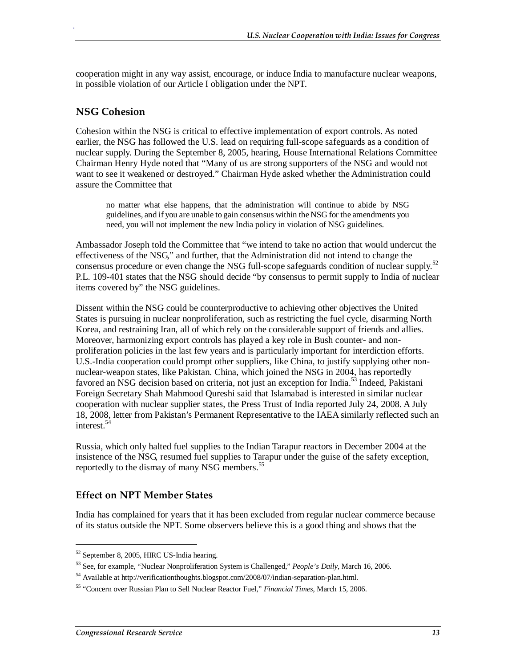cooperation might in any way assist, encourage, or induce India to manufacture nuclear weapons, in possible violation of our Article I obligation under the NPT.

#### **NSG Cohesion**

.

Cohesion within the NSG is critical to effective implementation of export controls. As noted earlier, the NSG has followed the U.S. lead on requiring full-scope safeguards as a condition of nuclear supply. During the September 8, 2005, hearing, House International Relations Committee Chairman Henry Hyde noted that "Many of us are strong supporters of the NSG and would not want to see it weakened or destroyed." Chairman Hyde asked whether the Administration could assure the Committee that

no matter what else happens, that the administration will continue to abide by NSG guidelines, and if you are unable to gain consensus within the NSG for the amendments you need, you will not implement the new India policy in violation of NSG guidelines.

Ambassador Joseph told the Committee that "we intend to take no action that would undercut the effectiveness of the NSG," and further, that the Administration did not intend to change the consensus procedure or even change the NSG full-scope safeguards condition of nuclear supply.<sup>52</sup> P.L. 109-401 states that the NSG should decide "by consensus to permit supply to India of nuclear items covered by" the NSG guidelines.

Dissent within the NSG could be counterproductive to achieving other objectives the United States is pursuing in nuclear nonproliferation, such as restricting the fuel cycle, disarming North Korea, and restraining Iran, all of which rely on the considerable support of friends and allies. Moreover, harmonizing export controls has played a key role in Bush counter- and nonproliferation policies in the last few years and is particularly important for interdiction efforts. U.S.-India cooperation could prompt other suppliers, like China, to justify supplying other nonnuclear-weapon states, like Pakistan. China, which joined the NSG in 2004, has reportedly favored an NSG decision based on criteria, not just an exception for India.<sup>53</sup> Indeed, Pakistani Foreign Secretary Shah Mahmood Qureshi said that Islamabad is interested in similar nuclear cooperation with nuclear supplier states, the Press Trust of India reported July 24, 2008. A July 18, 2008, letter from Pakistan's Permanent Representative to the IAEA similarly reflected such an interest.<sup>54</sup>

Russia, which only halted fuel supplies to the Indian Tarapur reactors in December 2004 at the insistence of the NSG, resumed fuel supplies to Tarapur under the guise of the safety exception, reportedly to the dismay of many NSG members.<sup>55</sup>

#### **Effect on NPT Member States**

India has complained for years that it has been excluded from regular nuclear commerce because of its status outside the NPT. Some observers believe this is a good thing and shows that the

<u>.</u>

<sup>52</sup> September 8, 2005, HIRC US-India hearing.

<sup>53</sup> See, for example, "Nuclear Nonproliferation System is Challenged," *People's Daily,* March 16, 2006.

<sup>54</sup> Available at http://verificationthoughts.blogspot.com/2008/07/indian-separation-plan.html.

<sup>55 &</sup>quot;Concern over Russian Plan to Sell Nuclear Reactor Fuel," *Financial Times*, March 15, 2006.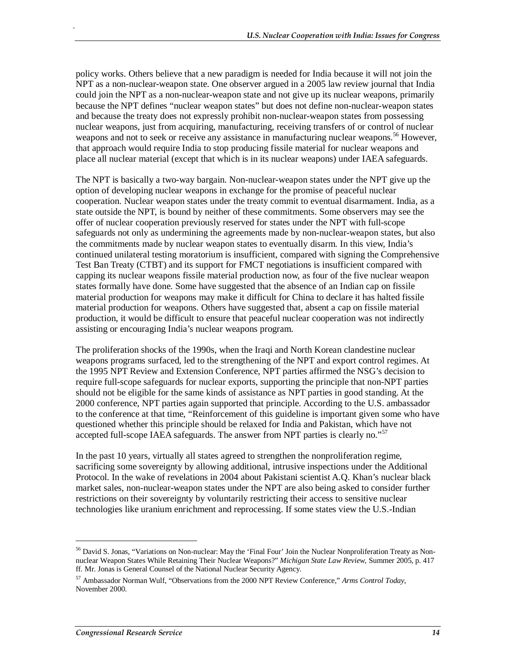policy works. Others believe that a new paradigm is needed for India because it will not ioin the NPT as a non-nuclear-weapon state. One observer argued in a 2005 law review journal that India could join the NPT as a non-nuclear-weapon state and not give up its nuclear weapons, primarily because the NPT defines "nuclear weapon states" but does not define non-nuclear-weapon states and because the treaty does not expressly prohibit non-nuclear-weapon states from possessing nuclear weapons, just from acquiring, manufacturing, receiving transfers of or control of nuclear weapons and not to seek or receive any assistance in manufacturing nuclear weapons.<sup>56</sup> However, that approach would require India to stop producing fissile material for nuclear weapons and place all nuclear material (except that which is in its nuclear weapons) under IAEA safeguards.

The NPT is basically a two-way bargain. Non-nuclear-weapon states under the NPT give up the option of developing nuclear weapons in exchange for the promise of peaceful nuclear cooperation. Nuclear weapon states under the treaty commit to eventual disarmament. India, as a state outside the NPT, is bound by neither of these commitments. Some observers may see the offer of nuclear cooperation previously reserved for states under the NPT with full-scope safeguards not only as undermining the agreements made by non-nuclear-weapon states, but also the commitments made by nuclear weapon states to eventually disarm. In this view, India's continued unilateral testing moratorium is insufficient, compared with signing the Comprehensive Test Ban Treaty (CTBT) and its support for FMCT negotiations is insufficient compared with capping its nuclear weapons fissile material production now, as four of the five nuclear weapon states formally have done. Some have suggested that the absence of an Indian cap on fissile material production for weapons may make it difficult for China to declare it has halted fissile material production for weapons. Others have suggested that, absent a cap on fissile material production, it would be difficult to ensure that peaceful nuclear cooperation was not indirectly assisting or encouraging India's nuclear weapons program.

The proliferation shocks of the 1990s, when the Iraqi and North Korean clandestine nuclear weapons programs surfaced, led to the strengthening of the NPT and export control regimes. At the 1995 NPT Review and Extension Conference, NPT parties affirmed the NSG's decision to require full-scope safeguards for nuclear exports, supporting the principle that non-NPT parties should not be eligible for the same kinds of assistance as NPT parties in good standing. At the 2000 conference, NPT parties again supported that principle. According to the U.S. ambassador to the conference at that time, "Reinforcement of this guideline is important given some who have questioned whether this principle should be relaxed for India and Pakistan, which have not accepted full-scope IAEA safeguards. The answer from NPT parties is clearly no."<sup>57</sup>

In the past 10 years, virtually all states agreed to strengthen the nonproliferation regime, sacrificing some sovereignty by allowing additional, intrusive inspections under the Additional Protocol. In the wake of revelations in 2004 about Pakistani scientist A.Q. Khan's nuclear black market sales, non-nuclear-weapon states under the NPT are also being asked to consider further restrictions on their sovereignty by voluntarily restricting their access to sensitive nuclear technologies like uranium enrichment and reprocessing. If some states view the U.S.-Indian

1

<sup>56</sup> David S. Jonas, "Variations on Non-nuclear: May the 'Final Four' Join the Nuclear Nonproliferation Treaty as Nonnuclear Weapon States While Retaining Their Nuclear Weapons?" *Michigan State Law Review,* Summer 2005, p. 417 ff. Mr. Jonas is General Counsel of the National Nuclear Security Agency.

<sup>57</sup> Ambassador Norman Wulf, "Observations from the 2000 NPT Review Conference," *Arms Control Today*, November 2000.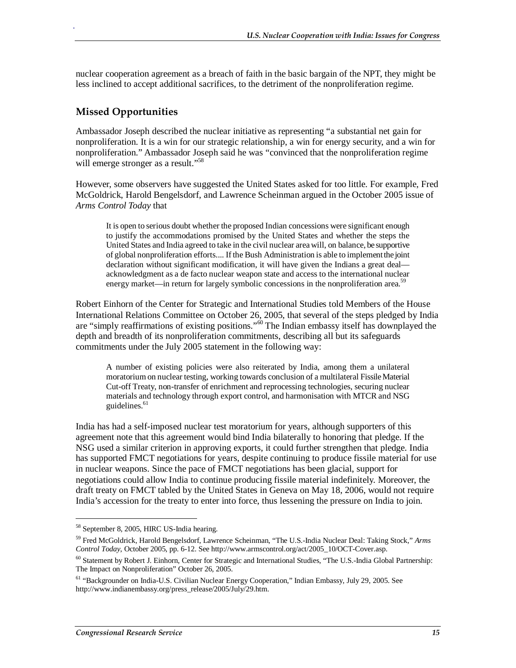nuclear cooperation agreement as a breach of faith in the basic bargain of the NPT, they might be less inclined to accept additional sacrifices, to the detriment of the nonproliferation regime.

#### **Missed Opportunities**

.

Ambassador Joseph described the nuclear initiative as representing "a substantial net gain for nonproliferation. It is a win for our strategic relationship, a win for energy security, and a win for nonproliferation." Ambassador Joseph said he was "convinced that the nonproliferation regime will emerge stronger as a result."<sup>58</sup>

However, some observers have suggested the United States asked for too little. For example, Fred McGoldrick, Harold Bengelsdorf, and Lawrence Scheinman argued in the October 2005 issue of *Arms Control Today* that

It is open to serious doubt whether the proposed Indian concessions were significant enough to justify the accommodations promised by the United States and whether the steps the United States and India agreed to take in the civil nuclear area will, on balance, be supportive of global nonproliferation efforts.... If the Bush Administration is able to implement the joint declaration without significant modification, it will have given the Indians a great deal acknowledgment as a de facto nuclear weapon state and access to the international nuclear energy market—in return for largely symbolic concessions in the nonproliferation area.<sup>59</sup>

Robert Einhorn of the Center for Strategic and International Studies told Members of the House International Relations Committee on October 26, 2005, that several of the steps pledged by India are "simply reaffirmations of existing positions."60 The Indian embassy itself has downplayed the depth and breadth of its nonproliferation commitments, describing all but its safeguards commitments under the July 2005 statement in the following way:

A number of existing policies were also reiterated by India, among them a unilateral moratorium on nuclear testing, working towards conclusion of a multilateral Fissile Material Cut-off Treaty, non-transfer of enrichment and reprocessing technologies, securing nuclear materials and technology through export control, and harmonisation with MTCR and NSG guidelines. $61$ 

India has had a self-imposed nuclear test moratorium for years, although supporters of this agreement note that this agreement would bind India bilaterally to honoring that pledge. If the NSG used a similar criterion in approving exports, it could further strengthen that pledge. India has supported FMCT negotiations for years, despite continuing to produce fissile material for use in nuclear weapons. Since the pace of FMCT negotiations has been glacial, support for negotiations could allow India to continue producing fissile material indefinitely. Moreover, the draft treaty on FMCT tabled by the United States in Geneva on May 18, 2006, would not require India's accession for the treaty to enter into force, thus lessening the pressure on India to join.

1

<sup>58</sup> September 8, 2005, HIRC US-India hearing.

<sup>59</sup> Fred McGoldrick, Harold Bengelsdorf, Lawrence Scheinman, "The U.S.-India Nuclear Deal: Taking Stock," *Arms Control Today*, October 2005, pp. 6-12. See http://www.armscontrol.org/act/2005\_10/OCT-Cover.asp.

<sup>60</sup> Statement by Robert J. Einhorn, Center for Strategic and International Studies, "The U.S.-India Global Partnership: The Impact on Nonproliferation" October 26, 2005.

<sup>61 &</sup>quot;Backgrounder on India-U.S. Civilian Nuclear Energy Cooperation," Indian Embassy, July 29, 2005. See http://www.indianembassy.org/press\_release/2005/July/29.htm.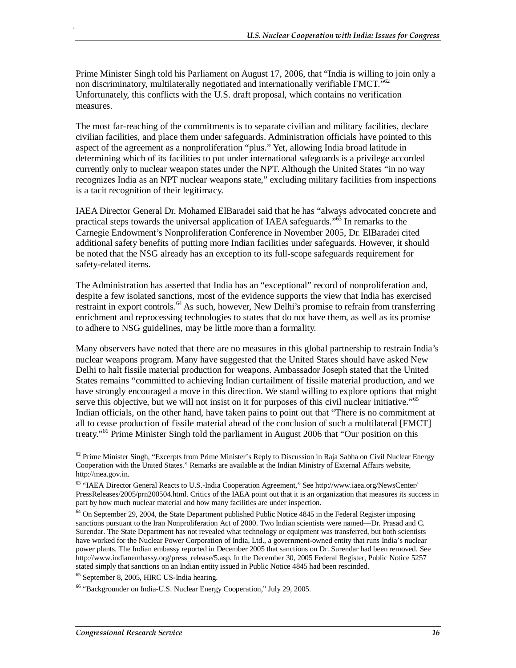Prime Minister Singh told his Parliament on August 17, 2006, that "India is willing to join only a non discriminatory, multilaterally negotiated and internationally verifiable FMCT.<sup>562</sup> Unfortunately, this conflicts with the U.S. draft proposal, which contains no verification measures.

The most far-reaching of the commitments is to separate civilian and military facilities, declare civilian facilities, and place them under safeguards. Administration officials have pointed to this aspect of the agreement as a nonproliferation "plus." Yet, allowing India broad latitude in determining which of its facilities to put under international safeguards is a privilege accorded currently only to nuclear weapon states under the NPT. Although the United States "in no way recognizes India as an NPT nuclear weapons state," excluding military facilities from inspections is a tacit recognition of their legitimacy.

IAEA Director General Dr. Mohamed ElBaradei said that he has "always advocated concrete and practical steps towards the universal application of IAEA safeguards."63 In remarks to the Carnegie Endowment's Nonproliferation Conference in November 2005, Dr. ElBaradei cited additional safety benefits of putting more Indian facilities under safeguards. However, it should be noted that the NSG already has an exception to its full-scope safeguards requirement for safety-related items.

The Administration has asserted that India has an "exceptional" record of nonproliferation and, despite a few isolated sanctions, most of the evidence supports the view that India has exercised restraint in export controls.<sup>64</sup> As such, however, New Delhi's promise to refrain from transferring enrichment and reprocessing technologies to states that do not have them, as well as its promise to adhere to NSG guidelines, may be little more than a formality.

Many observers have noted that there are no measures in this global partnership to restrain India's nuclear weapons program. Many have suggested that the United States should have asked New Delhi to halt fissile material production for weapons. Ambassador Joseph stated that the United States remains "committed to achieving Indian curtailment of fissile material production, and we have strongly encouraged a move in this direction. We stand willing to explore options that might serve this objective, but we will not insist on it for purposes of this civil nuclear initiative."<sup>65</sup> Indian officials, on the other hand, have taken pains to point out that "There is no commitment at all to cease production of fissile material ahead of the conclusion of such a multilateral [FMCT] treaty."<sup>66</sup> Prime Minister Singh told the parliament in August 2006 that "Our position on this

65 September 8, 2005, HIRC US-India hearing.

1

 $^{62}$  Prime Minister Singh, "Excerpts from Prime Minister's Reply to Discussion in Raja Sabha on Civil Nuclear Energy Cooperation with the United States." Remarks are available at the Indian Ministry of External Affairs website, http://mea.gov.in.

<sup>63 &</sup>quot;IAEA Director General Reacts to U.S.-India Cooperation Agreement," See http://www.iaea.org/NewsCenter/ PressReleases/2005/prn200504.html. Critics of the IAEA point out that it is an organization that measures its success in part by how much nuclear material and how many facilities are under inspection.

<sup>&</sup>lt;sup>64</sup> On September 29, 2004, the State Department published Public Notice 4845 in the Federal Register imposing sanctions pursuant to the Iran Nonproliferation Act of 2000. Two Indian scientists were named—Dr. Prasad and C. Surendar. The State Department has not revealed what technology or equipment was transferred, but both scientists have worked for the Nuclear Power Corporation of India, Ltd., a government-owned entity that runs India's nuclear power plants. The Indian embassy reported in December 2005 that sanctions on Dr. Surendar had been removed. See http://www.indianembassy.org/press\_release/5.asp. In the December 30, 2005 Federal Register, Public Notice 5257 stated simply that sanctions on an Indian entity issued in Public Notice 4845 had been rescinded.

<sup>66 &</sup>quot;Backgrounder on India-U.S. Nuclear Energy Cooperation," July 29, 2005.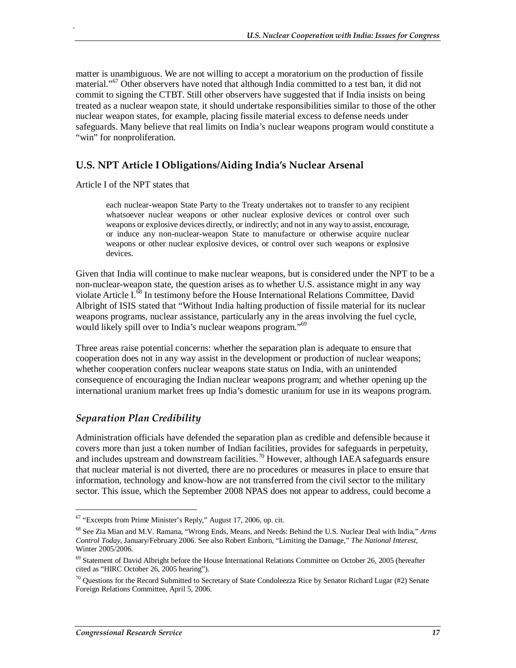matter is unambiguous. We are not willing to accept a moratorium on the production of fissile material."<sup>67</sup> Other observers have noted that although India committed to a test ban, it did not commit to signing the CTBT. Still other observers have suggested that if India insists on being treated as a nuclear weapon state, it should undertake responsibilities similar to those of the other nuclear weapon states, for example, placing fissile material excess to defense needs under safeguards. Many believe that real limits on India's nuclear weapons program would constitute a "win" for nonproliferation.

#### **U.S. NPT Article I Obligations/Aiding India's Nuclear Arsenal**

Article I of the NPT states that

.

each nuclear-weapon State Party to the Treaty undertakes not to transfer to any recipient whatsoever nuclear weapons or other nuclear explosive devices or control over such weapons or explosive devices directly, or indirectly; and not in any way to assist, encourage, or induce any non-nuclear-weapon State to manufacture or otherwise acquire nuclear weapons or other nuclear explosive devices, or control over such weapons or explosive devices.

Given that India will continue to make nuclear weapons, but is considered under the NPT to be a non-nuclear-weapon state, the question arises as to whether U.S. assistance might in any way violate Article I.68 In testimony before the House International Relations Committee, David Albright of ISIS stated that "Without India halting production of fissile material for its nuclear weapons programs, nuclear assistance, particularly any in the areas involving the fuel cycle, would likely spill over to India's nuclear weapons program."<sup>69</sup>

Three areas raise potential concerns: whether the separation plan is adequate to ensure that cooperation does not in any way assist in the development or production of nuclear weapons; whether cooperation confers nuclear weapons state status on India, with an unintended consequence of encouraging the Indian nuclear weapons program; and whether opening up the international uranium market frees up India's domestic uranium for use in its weapons program.

#### *Separation Plan Credibility*

Administration officials have defended the separation plan as credible and defensible because it covers more than just a token number of Indian facilities, provides for safeguards in perpetuity, and includes upstream and downstream facilities.<sup>70</sup> However, although IAEA safeguards ensure that nuclear material is not diverted, there are no procedures or measures in place to ensure that information, technology and know-how are not transferred from the civil sector to the military sector. This issue, which the September 2008 NPAS does not appear to address, could become a

<u>.</u>

 $67$  "Excerpts from Prime Minister's Reply," August 17, 2006, op. cit.

<sup>68</sup> See Zia Mian and M.V. Ramana, "Wrong Ends, Means, and Needs: Behind the U.S. Nuclear Deal with India," *Arms Control Today*, January/February 2006. See also Robert Einhorn, "Limiting the Damage," *The National Interest,* Winter 2005/2006.

<sup>69</sup> Statement of David Albright before the House International Relations Committee on October 26, 2005 (hereafter cited as "HIRC October 26, 2005 hearing").

 $70$  Questions for the Record Submitted to Secretary of State Condoleezza Rice by Senator Richard Lugar (#2) Senate Foreign Relations Committee, April 5, 2006.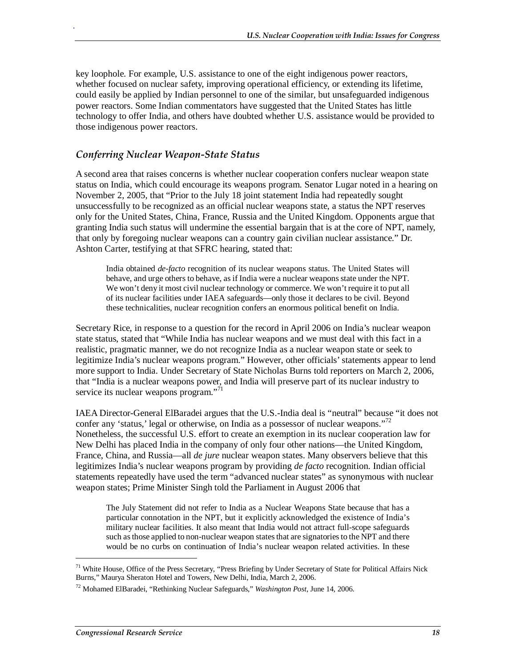key loophole. For example, U.S. assistance to one of the eight indigenous power reactors, whether focused on nuclear safety, improving operational efficiency, or extending its lifetime, could easily be applied by Indian personnel to one of the similar, but unsafeguarded indigenous power reactors. Some Indian commentators have suggested that the United States has little technology to offer India, and others have doubted whether U.S. assistance would be provided to those indigenous power reactors.

#### *Conferring Nuclear Weapon-State Status*

A second area that raises concerns is whether nuclear cooperation confers nuclear weapon state status on India, which could encourage its weapons program. Senator Lugar noted in a hearing on November 2, 2005, that "Prior to the July 18 joint statement India had repeatedly sought unsuccessfully to be recognized as an official nuclear weapons state, a status the NPT reserves only for the United States, China, France, Russia and the United Kingdom. Opponents argue that granting India such status will undermine the essential bargain that is at the core of NPT, namely, that only by foregoing nuclear weapons can a country gain civilian nuclear assistance." Dr. Ashton Carter, testifying at that SFRC hearing, stated that:

India obtained *de-facto* recognition of its nuclear weapons status. The United States will behave, and urge others to behave, as if India were a nuclear weapons state under the NPT. We won't deny it most civil nuclear technology or commerce. We won't require it to put all of its nuclear facilities under IAEA safeguards—only those it declares to be civil. Beyond these technicalities, nuclear recognition confers an enormous political benefit on India.

Secretary Rice, in response to a question for the record in April 2006 on India's nuclear weapon state status, stated that "While India has nuclear weapons and we must deal with this fact in a realistic, pragmatic manner, we do not recognize India as a nuclear weapon state or seek to legitimize India's nuclear weapons program." However, other officials' statements appear to lend more support to India. Under Secretary of State Nicholas Burns told reporters on March 2, 2006, that "India is a nuclear weapons power, and India will preserve part of its nuclear industry to service its nuclear weapons program."<sup>71</sup>

IAEA Director-General ElBaradei argues that the U.S.-India deal is "neutral" because "it does not confer any 'status,' legal or otherwise, on India as a possessor of nuclear weapons."<sup>72</sup> Nonetheless, the successful U.S. effort to create an exemption in its nuclear cooperation law for New Delhi has placed India in the company of only four other nations—the United Kingdom, France, China, and Russia—all *de jure* nuclear weapon states. Many observers believe that this legitimizes India's nuclear weapons program by providing *de facto* recognition. Indian official statements repeatedly have used the term "advanced nuclear states" as synonymous with nuclear weapon states; Prime Minister Singh told the Parliament in August 2006 that

The July Statement did not refer to India as a Nuclear Weapons State because that has a particular connotation in the NPT, but it explicitly acknowledged the existence of India's military nuclear facilities. It also meant that India would not attract full-scope safeguards such as those applied to non-nuclear weapon states that are signatories to the NPT and there would be no curbs on continuation of India's nuclear weapon related activities. In these

1

<sup>&</sup>lt;sup>71</sup> White House, Office of the Press Secretary, "Press Briefing by Under Secretary of State for Political Affairs Nick Burns," Maurya Sheraton Hotel and Towers, New Delhi, India, March 2, 2006.

<sup>72</sup> Mohamed ElBaradei, "Rethinking Nuclear Safeguards," *Washington Post*, June 14, 2006.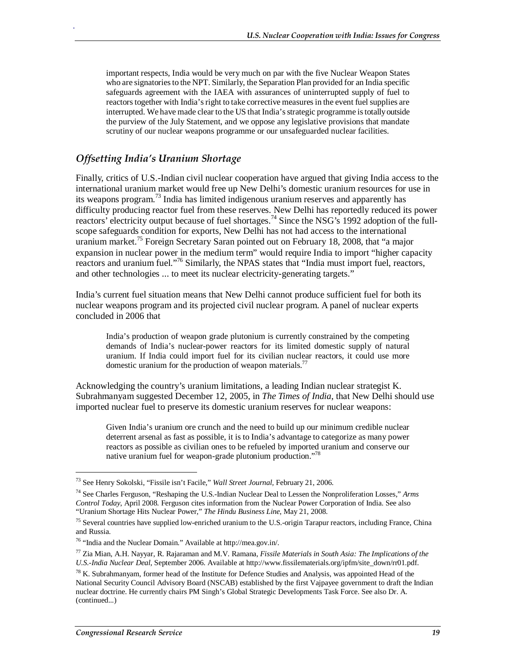important respects, India would be very much on par with the five Nuclear Weapon States who are signatories to the NPT. Similarly, the Separation Plan provided for an India specific safeguards agreement with the IAEA with assurances of uninterrupted supply of fuel to reactors together with India's right to take corrective measures in the event fuel supplies are interrupted. We have made clear to the US that India's strategic programme is totally outside the purview of the July Statement, and we oppose any legislative provisions that mandate scrutiny of our nuclear weapons programme or our unsafeguarded nuclear facilities.

#### *Offsetting India's Uranium Shortage*

Finally, critics of U.S.-Indian civil nuclear cooperation have argued that giving India access to the international uranium market would free up New Delhi's domestic uranium resources for use in its weapons program.<sup>73</sup> India has limited indigenous uranium reserves and apparently has difficulty producing reactor fuel from these reserves. New Delhi has reportedly reduced its power reactors' electricity output because of fuel shortages.<sup>74</sup> Since the NSG's 1992 adoption of the fullscope safeguards condition for exports, New Delhi has not had access to the international uranium market.<sup>75</sup> Foreign Secretary Saran pointed out on February 18, 2008, that "a major expansion in nuclear power in the medium term" would require India to import "higher capacity reactors and uranium fuel."<sup>76</sup> Similarly, the NPAS states that "India must import fuel, reactors, and other technologies ... to meet its nuclear electricity-generating targets."

India's current fuel situation means that New Delhi cannot produce sufficient fuel for both its nuclear weapons program and its projected civil nuclear program. A panel of nuclear experts concluded in 2006 that

India's production of weapon grade plutonium is currently constrained by the competing demands of India's nuclear-power reactors for its limited domestic supply of natural uranium. If India could import fuel for its civilian nuclear reactors, it could use more domestic uranium for the production of weapon materials.<sup>77</sup>

Acknowledging the country's uranium limitations, a leading Indian nuclear strategist K. Subrahmanyam suggested December 12, 2005, in *The Times of India*, that New Delhi should use imported nuclear fuel to preserve its domestic uranium reserves for nuclear weapons:

Given India's uranium ore crunch and the need to build up our minimum credible nuclear deterrent arsenal as fast as possible, it is to India's advantage to categorize as many power reactors as possible as civilian ones to be refueled by imported uranium and conserve our native uranium fuel for weapon-grade plutonium production."<sup>78</sup>

1

<sup>73</sup> See Henry Sokolski, "Fissile isn't Facile," *Wall Street Journal,* February 21, 2006.

<sup>74</sup> See Charles Ferguson, "Reshaping the U.S.-Indian Nuclear Deal to Lessen the Nonproliferation Losses," *Arms Control Today*, April 2008. Ferguson cites information from the Nuclear Power Corporation of India. See also "Uranium Shortage Hits Nuclear Power," *The Hindu Business Line*, May 21, 2008.

<sup>&</sup>lt;sup>75</sup> Several countries have supplied low-enriched uranium to the U.S.-origin Tarapur reactors, including France, China and Russia.

<sup>76 &</sup>quot;India and the Nuclear Domain." Available at http://mea.gov.in/.

<sup>77</sup> Zia Mian, A.H. Nayyar, R. Rajaraman and M.V. Ramana, *Fissile Materials in South Asia: The Implications of the U.S.-India Nuclear Deal*, September 2006. Available at http://www.fissilematerials.org/ipfm/site\_down/rr01.pdf.

<sup>&</sup>lt;sup>78</sup> K. Subrahmanyam, former head of the Institute for Defence Studies and Analysis, was appointed Head of the National Security Council Advisory Board (NSCAB) established by the first Vajpayee government to draft the Indian nuclear doctrine. He currently chairs PM Singh's Global Strategic Developments Task Force. See also Dr. A. (continued...)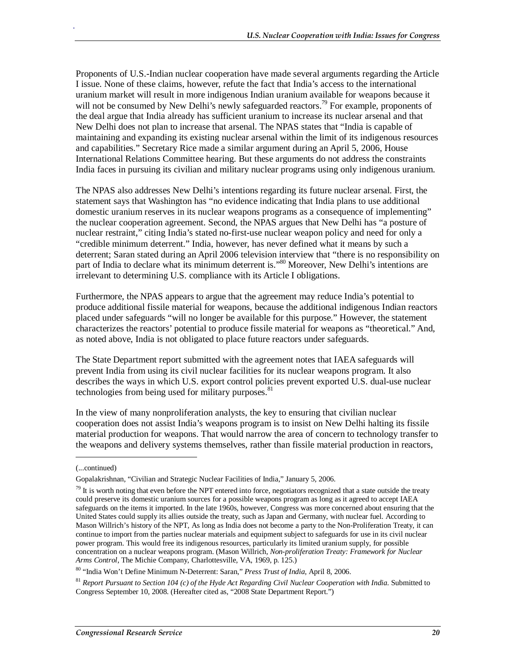Proponents of U.S.-Indian nuclear cooperation have made several arguments regarding the Article I issue. None of these claims, however, refute the fact that India's access to the international uranium market will result in more indigenous Indian uranium available for weapons because it will not be consumed by New Delhi's newly safeguarded reactors.<sup>79</sup> For example, proponents of the deal argue that India already has sufficient uranium to increase its nuclear arsenal and that New Delhi does not plan to increase that arsenal. The NPAS states that "India is capable of maintaining and expanding its existing nuclear arsenal within the limit of its indigenous resources and capabilities." Secretary Rice made a similar argument during an April 5, 2006, House International Relations Committee hearing. But these arguments do not address the constraints India faces in pursuing its civilian and military nuclear programs using only indigenous uranium.

The NPAS also addresses New Delhi's intentions regarding its future nuclear arsenal. First, the statement says that Washington has "no evidence indicating that India plans to use additional domestic uranium reserves in its nuclear weapons programs as a consequence of implementing" the nuclear cooperation agreement. Second, the NPAS argues that New Delhi has "a posture of nuclear restraint," citing India's stated no-first-use nuclear weapon policy and need for only a "credible minimum deterrent." India, however, has never defined what it means by such a deterrent; Saran stated during an April 2006 television interview that "there is no responsibility on part of India to declare what its minimum deterrent is."<sup>80</sup> Moreover, New Delhi's intentions are irrelevant to determining U.S. compliance with its Article I obligations.

Furthermore, the NPAS appears to argue that the agreement may reduce India's potential to produce additional fissile material for weapons, because the additional indigenous Indian reactors placed under safeguards "will no longer be available for this purpose." However, the statement characterizes the reactors' potential to produce fissile material for weapons as "theoretical." And, as noted above, India is not obligated to place future reactors under safeguards.

The State Department report submitted with the agreement notes that IAEA safeguards will prevent India from using its civil nuclear facilities for its nuclear weapons program. It also describes the ways in which U.S. export control policies prevent exported U.S. dual-use nuclear technologies from being used for military purposes.<sup>81</sup>

In the view of many nonproliferation analysts, the key to ensuring that civilian nuclear cooperation does not assist India's weapons program is to insist on New Delhi halting its fissile material production for weapons. That would narrow the area of concern to technology transfer to the weapons and delivery systems themselves, rather than fissile material production in reactors,

<u>.</u>

<sup>(...</sup>continued)

Gopalakrishnan, "Civilian and Strategic Nuclear Facilities of India," January 5, 2006.

 $79$  It is worth noting that even before the NPT entered into force, negotiators recognized that a state outside the treaty could preserve its domestic uranium sources for a possible weapons program as long as it agreed to accept IAEA safeguards on the items it imported. In the late 1960s, however, Congress was more concerned about ensuring that the United States could supply its allies outside the treaty, such as Japan and Germany, with nuclear fuel. According to Mason Willrich's history of the NPT, As long as India does not become a party to the Non-Proliferation Treaty, it can continue to import from the parties nuclear materials and equipment subject to safeguards for use in its civil nuclear power program. This would free its indigenous resources, particularly its limited uranium supply, for possible concentration on a nuclear weapons program. (Mason Willrich, *Non-proliferation Treaty: Framework for Nuclear Arms Control*, The Michie Company, Charlottesville, VA, 1969, p. 125.)

<sup>80 &</sup>quot;India Won't Define Minimum N-Deterrent: Saran," *Press Trust of India*, April 8, 2006.

<sup>81</sup> *Report Pursuant to Section 104 (c) of the Hyde Act Regarding Civil Nuclear Cooperation with India*. Submitted to Congress September 10, 2008. (Hereafter cited as, "2008 State Department Report.")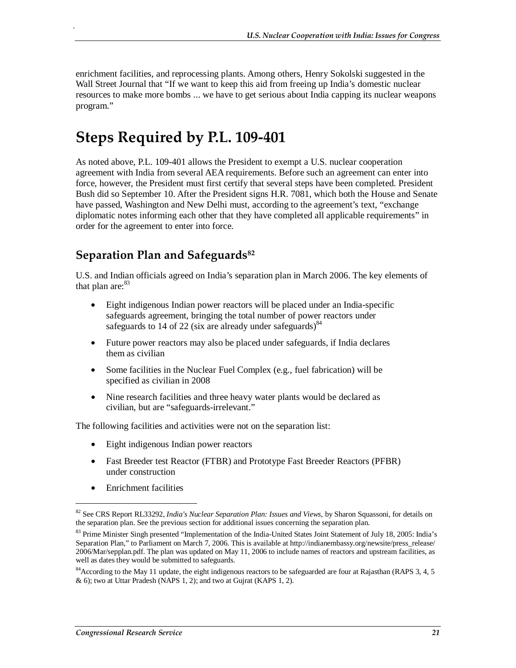enrichment facilities, and reprocessing plants. Among others, Henry Sokolski suggested in the Wall Street Journal that "If we want to keep this aid from freeing up India's domestic nuclear resources to make more bombs ... we have to get serious about India capping its nuclear weapons program."

# **Steps Required by P.L. 109-401**

As noted above, P.L. 109-401 allows the President to exempt a U.S. nuclear cooperation agreement with India from several AEA requirements. Before such an agreement can enter into force, however, the President must first certify that several steps have been completed. President Bush did so September 10. After the President signs H.R. 7081, which both the House and Senate have passed, Washington and New Delhi must, according to the agreement's text, "exchange diplomatic notes informing each other that they have completed all applicable requirements" in order for the agreement to enter into force.

# **Separation Plan and Safeguards82**

U.S. and Indian officials agreed on India's separation plan in March 2006. The key elements of that plan are: $83$ 

- Eight indigenous Indian power reactors will be placed under an India-specific safeguards agreement, bringing the total number of power reactors under safeguards to 14 of 22 (six are already under safeguards)<sup>84</sup>
- Future power reactors may also be placed under safeguards, if India declares them as civilian
- Some facilities in the Nuclear Fuel Complex (e.g., fuel fabrication) will be specified as civilian in 2008
- Nine research facilities and three heavy water plants would be declared as civilian, but are "safeguards-irrelevant."

The following facilities and activities were not on the separation list:

- Eight indigenous Indian power reactors
- Fast Breeder test Reactor (FTBR) and Prototype Fast Breeder Reactors (PFBR) under construction
- Enrichment facilities

<u>.</u>

<sup>82</sup> See CRS Report RL33292, *India's Nuclear Separation Plan: Issues and Views*, by Sharon Squassoni, for details on the separation plan. See the previous section for additional issues concerning the separation plan.

<sup>&</sup>lt;sup>83</sup> Prime Minister Singh presented "Implementation of the India-United States Joint Statement of July 18, 2005: India's Separation Plan," to Parliament on March 7, 2006. This is available at http://indianembassy.org/newsite/press\_release/ 2006/Mar/sepplan.pdf. The plan was updated on May 11, 2006 to include names of reactors and upstream facilities, as well as dates they would be submitted to safeguards.

<sup>&</sup>lt;sup>84</sup> According to the May 11 update, the eight indigenous reactors to be safeguarded are four at Rajasthan (RAPS 3, 4, 5 & 6); two at Uttar Pradesh (NAPS 1, 2); and two at Gujrat (KAPS 1, 2).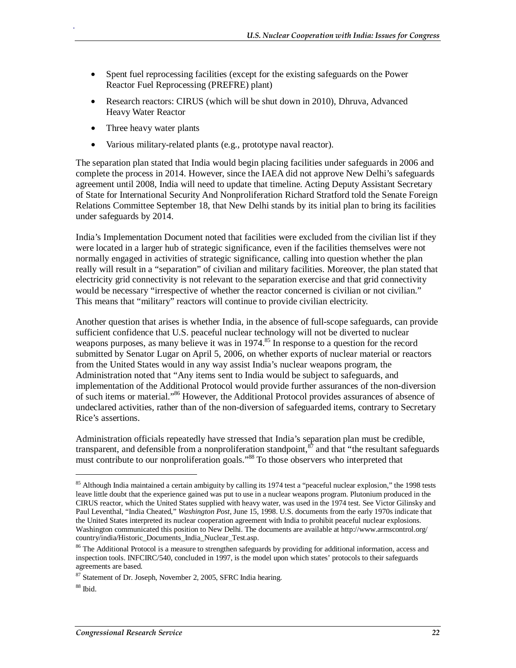- Spent fuel reprocessing facilities (except for the existing safeguards on the Power Reactor Fuel Reprocessing (PREFRE) plant)
- Research reactors: CIRUS (which will be shut down in 2010), Dhruva, Advanced Heavy Water Reactor
- Three heavy water plants

.

• Various military-related plants (e.g., prototype naval reactor).

The separation plan stated that India would begin placing facilities under safeguards in 2006 and complete the process in 2014. However, since the IAEA did not approve New Delhi's safeguards agreement until 2008, India will need to update that timeline. Acting Deputy Assistant Secretary of State for International Security And Nonproliferation Richard Stratford told the Senate Foreign Relations Committee September 18, that New Delhi stands by its initial plan to bring its facilities under safeguards by 2014.

India's Implementation Document noted that facilities were excluded from the civilian list if they were located in a larger hub of strategic significance, even if the facilities themselves were not normally engaged in activities of strategic significance, calling into question whether the plan really will result in a "separation" of civilian and military facilities. Moreover, the plan stated that electricity grid connectivity is not relevant to the separation exercise and that grid connectivity would be necessary "irrespective of whether the reactor concerned is civilian or not civilian." This means that "military" reactors will continue to provide civilian electricity.

Another question that arises is whether India, in the absence of full-scope safeguards, can provide sufficient confidence that U.S. peaceful nuclear technology will not be diverted to nuclear weapons purposes, as many believe it was in 1974.<sup>85</sup> In response to a question for the record submitted by Senator Lugar on April 5, 2006, on whether exports of nuclear material or reactors from the United States would in any way assist India's nuclear weapons program, the Administration noted that "Any items sent to India would be subject to safeguards, and implementation of the Additional Protocol would provide further assurances of the non-diversion of such items or material."86 However, the Additional Protocol provides assurances of absence of undeclared activities, rather than of the non-diversion of safeguarded items, contrary to Secretary Rice's assertions.

Administration officials repeatedly have stressed that India's separation plan must be credible, transparent, and defensible from a nonproliferation standpoint,<sup>87</sup> and that "the resultant safeguards" must contribute to our nonproliferation goals."<sup>88</sup> To those observers who interpreted that

<u>.</u>

<sup>&</sup>lt;sup>85</sup> Although India maintained a certain ambiguity by calling its 1974 test a "peaceful nuclear explosion," the 1998 tests leave little doubt that the experience gained was put to use in a nuclear weapons program. Plutonium produced in the CIRUS reactor, which the United States supplied with heavy water, was used in the 1974 test. See Victor Gilinsky and Paul Leventhal, "India Cheated," *Washington Post*, June 15, 1998. U.S. documents from the early 1970s indicate that the United States interpreted its nuclear cooperation agreement with India to prohibit peaceful nuclear explosions. Washington communicated this position to New Delhi. The documents are available at http://www.armscontrol.org/ country/india/Historic\_Documents\_India\_Nuclear\_Test.asp.

<sup>&</sup>lt;sup>86</sup> The Additional Protocol is a measure to strengthen safeguards by providing for additional information, access and inspection tools. INFCIRC/540, concluded in 1997, is the model upon which states' protocols to their safeguards agreements are based.

<sup>87</sup> Statement of Dr. Joseph, November 2, 2005, SFRC India hearing.

 $88$  Ibid.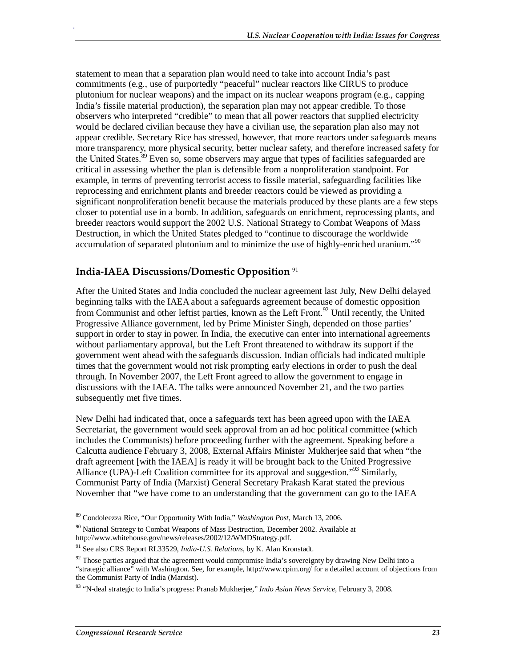statement to mean that a separation plan would need to take into account India's past commitments (e.g., use of purportedly "peaceful" nuclear reactors like CIRUS to produce plutonium for nuclear weapons) and the impact on its nuclear weapons program (e.g., capping India's fissile material production), the separation plan may not appear credible. To those observers who interpreted "credible" to mean that all power reactors that supplied electricity would be declared civilian because they have a civilian use, the separation plan also may not appear credible. Secretary Rice has stressed, however, that more reactors under safeguards means more transparency, more physical security, better nuclear safety, and therefore increased safety for the United States.<sup>89</sup> Even so, some observers may argue that types of facilities safeguarded are critical in assessing whether the plan is defensible from a nonproliferation standpoint. For example, in terms of preventing terrorist access to fissile material, safeguarding facilities like reprocessing and enrichment plants and breeder reactors could be viewed as providing a significant nonproliferation benefit because the materials produced by these plants are a few steps closer to potential use in a bomb. In addition, safeguards on enrichment, reprocessing plants, and breeder reactors would support the 2002 U.S. National Strategy to Combat Weapons of Mass Destruction, in which the United States pledged to "continue to discourage the worldwide accumulation of separated plutonium and to minimize the use of highly-enriched uranium."<sup>90</sup>

#### **India-IAEA Discussions/Domestic Opposition** <sup>91</sup>

After the United States and India concluded the nuclear agreement last July, New Delhi delayed beginning talks with the IAEA about a safeguards agreement because of domestic opposition from Communist and other leftist parties, known as the Left Front.<sup>92</sup> Until recently, the United Progressive Alliance government, led by Prime Minister Singh, depended on those parties' support in order to stay in power. In India, the executive can enter into international agreements without parliamentary approval, but the Left Front threatened to withdraw its support if the government went ahead with the safeguards discussion. Indian officials had indicated multiple times that the government would not risk prompting early elections in order to push the deal through. In November 2007, the Left Front agreed to allow the government to engage in discussions with the IAEA. The talks were announced November 21, and the two parties subsequently met five times.

New Delhi had indicated that, once a safeguards text has been agreed upon with the IAEA Secretariat, the government would seek approval from an ad hoc political committee (which includes the Communists) before proceeding further with the agreement. Speaking before a Calcutta audience February 3, 2008, External Affairs Minister Mukherjee said that when "the draft agreement [with the IAEA] is ready it will be brought back to the United Progressive Alliance (UPA)-Left Coalition committee for its approval and suggestion.<sup>"93</sup> Similarly, Communist Party of India (Marxist) General Secretary Prakash Karat stated the previous November that "we have come to an understanding that the government can go to the IAEA

1

<sup>89</sup> Condoleezza Rice, "Our Opportunity With India," *Washington Post*, March 13, 2006.

 $90$  National Strategy to Combat Weapons of Mass Destruction, December 2002. Available at http://www.whitehouse.gov/news/releases/2002/12/WMDStrategy.pdf.

<sup>91</sup> See also CRS Report RL33529, *India-U.S. Relations*, by K. Alan Kronstadt.

 $92$  Those parties argued that the agreement would compromise India's sovereignty by drawing New Delhi into a "strategic alliance" with Washington. See, for example, http://www.cpim.org/ for a detailed account of objections from the Communist Party of India (Marxist).

<sup>93 &</sup>quot;N-deal strategic to India's progress: Pranab Mukherjee," *Indo Asian News Service*, February 3, 2008.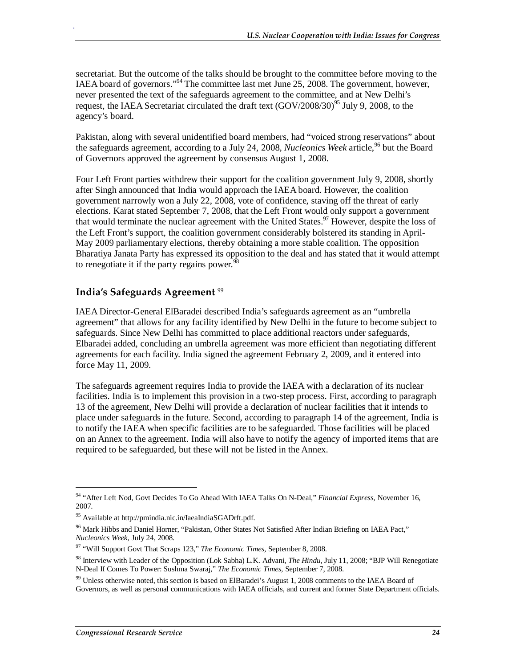secretariat. But the outcome of the talks should be brought to the committee before moving to the IAEA board of governors."94 The committee last met June 25, 2008. The government, however, never presented the text of the safeguards agreement to the committee, and at New Delhi's request, the IAEA Secretariat circulated the draft text  $(GOV/2008/30)^{95}$  July 9, 2008, to the agency's board.

Pakistan, along with several unidentified board members, had "voiced strong reservations" about the safeguards agreement, according to a July 24, 2008, *Nucleonics Week* article,<sup>96</sup> but the Board of Governors approved the agreement by consensus August 1, 2008.

Four Left Front parties withdrew their support for the coalition government July 9, 2008, shortly after Singh announced that India would approach the IAEA board. However, the coalition government narrowly won a July 22, 2008, vote of confidence, staving off the threat of early elections. Karat stated September 7, 2008, that the Left Front would only support a government that would terminate the nuclear agreement with the United States.<sup>97</sup> However, despite the loss of the Left Front's support, the coalition government considerably bolstered its standing in April-May 2009 parliamentary elections, thereby obtaining a more stable coalition. The opposition Bharatiya Janata Party has expressed its opposition to the deal and has stated that it would attempt to renegotiate it if the party regains power. $\overline{9}$ 

#### **India's Safeguards Agreement** <sup>99</sup>

IAEA Director-General ElBaradei described India's safeguards agreement as an "umbrella agreement" that allows for any facility identified by New Delhi in the future to become subject to safeguards. Since New Delhi has committed to place additional reactors under safeguards, Elbaradei added, concluding an umbrella agreement was more efficient than negotiating different agreements for each facility. India signed the agreement February 2, 2009, and it entered into force May 11, 2009.

The safeguards agreement requires India to provide the IAEA with a declaration of its nuclear facilities. India is to implement this provision in a two-step process. First, according to paragraph 13 of the agreement, New Delhi will provide a declaration of nuclear facilities that it intends to place under safeguards in the future. Second, according to paragraph 14 of the agreement, India is to notify the IAEA when specific facilities are to be safeguarded. Those facilities will be placed on an Annex to the agreement. India will also have to notify the agency of imported items that are required to be safeguarded, but these will not be listed in the Annex.

1

<sup>94 &</sup>quot;After Left Nod, Govt Decides To Go Ahead With IAEA Talks On N-Deal," *Financial Express*, November 16, 2007.

<sup>95</sup> Available at http://pmindia.nic.in/IaeaIndiaSGADrft.pdf.

<sup>&</sup>lt;sup>96</sup> Mark Hibbs and Daniel Horner, "Pakistan, Other States Not Satisfied After Indian Briefing on IAEA Pact," *Nucleonics Week*, July 24, 2008.

<sup>97 &</sup>quot;Will Support Govt That Scraps 123," *The Economic Times*, September 8, 2008.

<sup>98</sup> Interview with Leader of the Opposition (Lok Sabha) L.K. Advani, *The Hindu*, July 11, 2008; "BJP Will Renegotiate N-Deal If Comes To Power: Sushma Swaraj," *The Economic Times*, September 7, 2008.

<sup>&</sup>lt;sup>99</sup> Unless otherwise noted, this section is based on ElBaradei's August 1, 2008 comments to the IAEA Board of Governors, as well as personal communications with IAEA officials, and current and former State Department officials.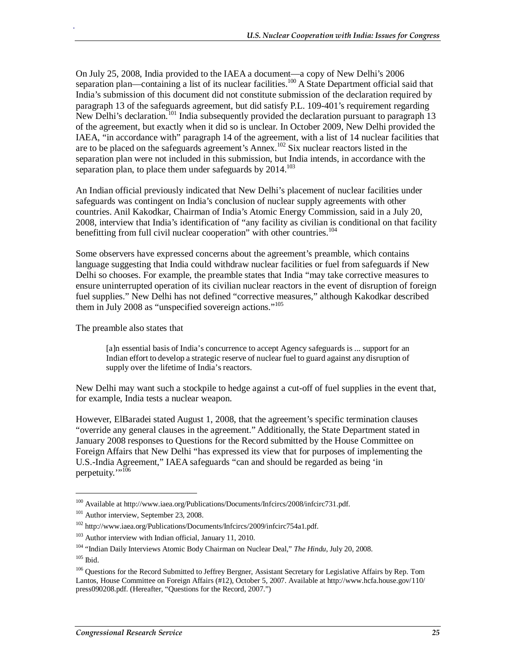On July 25, 2008, India provided to the IAEA a document—a copy of New Delhi's 2006 separation plan—containing a list of its nuclear facilities.<sup>100</sup> A State Department official said that India's submission of this document did not constitute submission of the declaration required by paragraph 13 of the safeguards agreement, but did satisfy P.L. 109-401's requirement regarding New Delhi's declaration.<sup>101</sup> India subsequently provided the declaration pursuant to paragraph 13 of the agreement, but exactly when it did so is unclear. In October 2009, New Delhi provided the IAEA, "in accordance with" paragraph 14 of the agreement, with a list of 14 nuclear facilities that are to be placed on the safeguards agreement's Annex.<sup>102</sup> Six nuclear reactors listed in the separation plan were not included in this submission, but India intends, in accordance with the separation plan, to place them under safeguards by  $2014$ .<sup>103</sup>

An Indian official previously indicated that New Delhi's placement of nuclear facilities under safeguards was contingent on India's conclusion of nuclear supply agreements with other countries. Anil Kakodkar, Chairman of India's Atomic Energy Commission, said in a July 20, 2008, interview that India's identification of "any facility as civilian is conditional on that facility benefitting from full civil nuclear cooperation" with other countries.<sup>104</sup>

Some observers have expressed concerns about the agreement's preamble, which contains language suggesting that India could withdraw nuclear facilities or fuel from safeguards if New Delhi so chooses. For example, the preamble states that India "may take corrective measures to ensure uninterrupted operation of its civilian nuclear reactors in the event of disruption of foreign fuel supplies." New Delhi has not defined "corrective measures," although Kakodkar described them in July 2008 as "unspecified sovereign actions."<sup>105</sup>

The preamble also states that

[a]n essential basis of India's concurrence to accept Agency safeguards is ... support for an Indian effort to develop a strategic reserve of nuclear fuel to guard against any disruption of supply over the lifetime of India's reactors.

New Delhi may want such a stockpile to hedge against a cut-off of fuel supplies in the event that, for example, India tests a nuclear weapon.

However, ElBaradei stated August 1, 2008, that the agreement's specific termination clauses "override any general clauses in the agreement." Additionally, the State Department stated in January 2008 responses to Questions for the Record submitted by the House Committee on Foreign Affairs that New Delhi "has expressed its view that for purposes of implementing the U.S.-India Agreement," IAEA safeguards "can and should be regarded as being 'in perpetuity."<sup>106</sup>

<u>.</u>

<sup>100</sup> Available at http://www.iaea.org/Publications/Documents/Infcircs/2008/infcirc731.pdf.

<sup>&</sup>lt;sup>101</sup> Author interview, September 23, 2008.

<sup>102</sup> http://www.iaea.org/Publications/Documents/Infcircs/2009/infcirc754a1.pdf.

<sup>&</sup>lt;sup>103</sup> Author interview with Indian official, January 11, 2010.

<sup>&</sup>lt;sup>104</sup> "Indian Daily Interviews Atomic Body Chairman on Nuclear Deal," The Hindu, July 20, 2008.

<sup>105</sup> Ibid.

<sup>&</sup>lt;sup>106</sup> Questions for the Record Submitted to Jeffrey Bergner, Assistant Secretary for Legislative Affairs by Rep. Tom Lantos, House Committee on Foreign Affairs (#12), October 5, 2007. Available at http://www.hcfa.house.gov/110/ press090208.pdf. (Hereafter, "Questions for the Record, 2007.")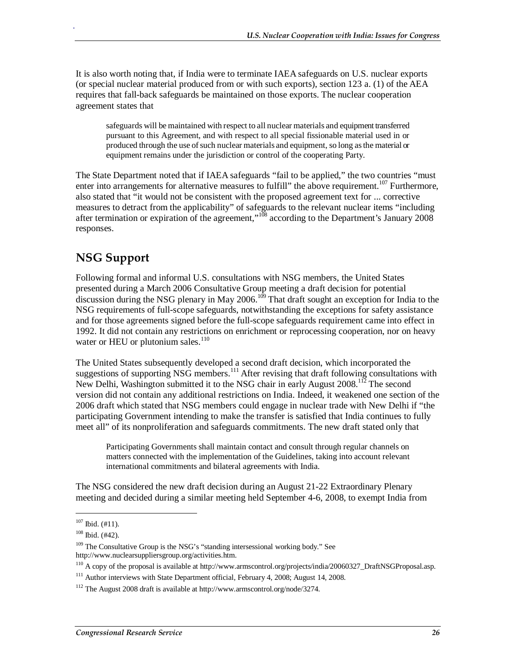It is also worth noting that, if India were to terminate IAEA safeguards on U.S. nuclear exports (or special nuclear material produced from or with such exports), section 123 a. (1) of the AEA requires that fall-back safeguards be maintained on those exports. The nuclear cooperation agreement states that

safeguards will be maintained with respect to all nuclear materials and equipment transferred pursuant to this Agreement, and with respect to all special fissionable material used in or produced through the use of such nuclear materials and equipment, so long as the material or equipment remains under the jurisdiction or control of the cooperating Party.

The State Department noted that if IAEA safeguards "fail to be applied," the two countries "must enter into arrangements for alternative measures to fulfill" the above requirement.<sup>107</sup> Furthermore, also stated that "it would not be consistent with the proposed agreement text for ... corrective measures to detract from the applicability" of safeguards to the relevant nuclear items "including after termination or expiration of the agreement,"<sup>108</sup> according to the Department's January 2008 responses.

### **NSG Support**

.

Following formal and informal U.S. consultations with NSG members, the United States presented during a March 2006 Consultative Group meeting a draft decision for potential discussion during the NSG plenary in May 2006.<sup>109</sup> That draft sought an exception for India to the NSG requirements of full-scope safeguards, notwithstanding the exceptions for safety assistance and for those agreements signed before the full-scope safeguards requirement came into effect in 1992. It did not contain any restrictions on enrichment or reprocessing cooperation, nor on heavy water or HEU or plutonium sales. $110$ 

The United States subsequently developed a second draft decision, which incorporated the suggestions of supporting NSG members.<sup>111</sup> After revising that draft following consultations with New Delhi, Washington submitted it to the NSG chair in early August 2008.<sup>112</sup> The second version did not contain any additional restrictions on India. Indeed, it weakened one section of the 2006 draft which stated that NSG members could engage in nuclear trade with New Delhi if "the participating Government intending to make the transfer is satisfied that India continues to fully meet all" of its nonproliferation and safeguards commitments. The new draft stated only that

Participating Governments shall maintain contact and consult through regular channels on matters connected with the implementation of the Guidelines, taking into account relevant international commitments and bilateral agreements with India.

The NSG considered the new draft decision during an August 21-22 Extraordinary Plenary meeting and decided during a similar meeting held September 4-6, 2008, to exempt India from

1

 $107$  Ibid. (#11).

 $108$  Ibid. (#42).

<sup>&</sup>lt;sup>109</sup> The Consultative Group is the NSG's "standing intersessional working body." See http://www.nuclearsuppliersgroup.org/activities.htm.

<sup>110</sup> A copy of the proposal is available at http://www.armscontrol.org/projects/india/20060327\_DraftNSGProposal.asp.

<sup>&</sup>lt;sup>111</sup> Author interviews with State Department official, February 4, 2008; August 14, 2008.

<sup>112</sup> The August 2008 draft is available at http://www.armscontrol.org/node/3274.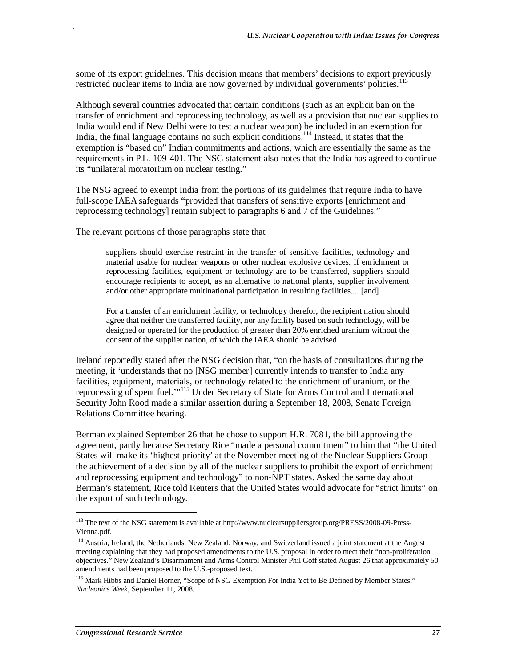some of its export guidelines. This decision means that members' decisions to export previously restricted nuclear items to India are now governed by individual governments' policies.<sup>113</sup>

Although several countries advocated that certain conditions (such as an explicit ban on the transfer of enrichment and reprocessing technology, as well as a provision that nuclear supplies to India would end if New Delhi were to test a nuclear weapon) be included in an exemption for India, the final language contains no such explicit conditions.<sup>114</sup> Instead, it states that the exemption is "based on" Indian commitments and actions, which are essentially the same as the requirements in P.L. 109-401. The NSG statement also notes that the India has agreed to continue its "unilateral moratorium on nuclear testing."

The NSG agreed to exempt India from the portions of its guidelines that require India to have full-scope IAEA safeguards "provided that transfers of sensitive exports [enrichment and reprocessing technology] remain subject to paragraphs 6 and 7 of the Guidelines."

The relevant portions of those paragraphs state that

suppliers should exercise restraint in the transfer of sensitive facilities, technology and material usable for nuclear weapons or other nuclear explosive devices. If enrichment or reprocessing facilities, equipment or technology are to be transferred, suppliers should encourage recipients to accept, as an alternative to national plants, supplier involvement and/or other appropriate multinational participation in resulting facilities.... [and]

For a transfer of an enrichment facility, or technology therefor, the recipient nation should agree that neither the transferred facility, nor any facility based on such technology, will be designed or operated for the production of greater than 20% enriched uranium without the consent of the supplier nation, of which the IAEA should be advised.

Ireland reportedly stated after the NSG decision that, "on the basis of consultations during the meeting, it 'understands that no [NSG member] currently intends to transfer to India any facilities, equipment, materials, or technology related to the enrichment of uranium, or the reprocessing of spent fuel.'"115 Under Secretary of State for Arms Control and International Security John Rood made a similar assertion during a September 18, 2008, Senate Foreign Relations Committee hearing.

Berman explained September 26 that he chose to support H.R. 7081, the bill approving the agreement, partly because Secretary Rice "made a personal commitment" to him that "the United States will make its 'highest priority' at the November meeting of the Nuclear Suppliers Group the achievement of a decision by all of the nuclear suppliers to prohibit the export of enrichment and reprocessing equipment and technology" to non-NPT states. Asked the same day about Berman's statement, Rice told Reuters that the United States would advocate for "strict limits" on the export of such technology.

1

<sup>113</sup> The text of the NSG statement is available at http://www.nuclearsuppliersgroup.org/PRESS/2008-09-Press-Vienna.pdf.

<sup>&</sup>lt;sup>114</sup> Austria, Ireland, the Netherlands, New Zealand, Norway, and Switzerland issued a joint statement at the August meeting explaining that they had proposed amendments to the U.S. proposal in order to meet their "non-proliferation objectives." New Zealand's Disarmament and Arms Control Minister Phil Goff stated August 26 that approximately 50 amendments had been proposed to the U.S.-proposed text.

<sup>&</sup>lt;sup>115</sup> Mark Hibbs and Daniel Horner, "Scope of NSG Exemption For India Yet to Be Defined by Member States," *Nucleonics Week*, September 11, 2008.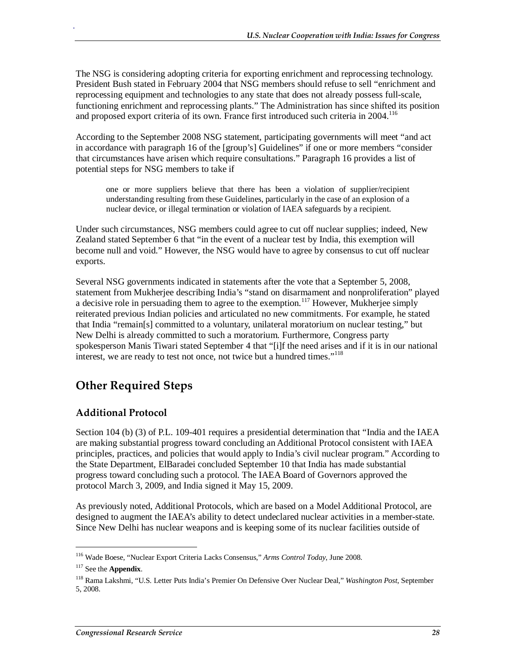The NSG is considering adopting criteria for exporting enrichment and reprocessing technology. President Bush stated in February 2004 that NSG members should refuse to sell "enrichment and reprocessing equipment and technologies to any state that does not already possess full-scale, functioning enrichment and reprocessing plants." The Administration has since shifted its position and proposed export criteria of its own. France first introduced such criteria in 2004.<sup>116</sup>

According to the September 2008 NSG statement, participating governments will meet "and act in accordance with paragraph 16 of the [group's] Guidelines" if one or more members "consider that circumstances have arisen which require consultations." Paragraph 16 provides a list of potential steps for NSG members to take if

one or more suppliers believe that there has been a violation of supplier/recipient understanding resulting from these Guidelines, particularly in the case of an explosion of a nuclear device, or illegal termination or violation of IAEA safeguards by a recipient.

Under such circumstances, NSG members could agree to cut off nuclear supplies; indeed, New Zealand stated September 6 that "in the event of a nuclear test by India, this exemption will become null and void." However, the NSG would have to agree by consensus to cut off nuclear exports.

Several NSG governments indicated in statements after the vote that a September 5, 2008, statement from Mukherjee describing India's "stand on disarmament and nonproliferation" played a decisive role in persuading them to agree to the exemption.<sup>117</sup> However, Mukherjee simply reiterated previous Indian policies and articulated no new commitments. For example, he stated that India "remain[s] committed to a voluntary, unilateral moratorium on nuclear testing," but New Delhi is already committed to such a moratorium. Furthermore, Congress party spokesperson Manis Tiwari stated September 4 that "[i]f the need arises and if it is in our national interest, we are ready to test not once, not twice but a hundred times."<sup>118</sup>

# **Other Required Steps**

#### **Additional Protocol**

Section 104 (b) (3) of P.L. 109-401 requires a presidential determination that "India and the IAEA are making substantial progress toward concluding an Additional Protocol consistent with IAEA principles, practices, and policies that would apply to India's civil nuclear program." According to the State Department, ElBaradei concluded September 10 that India has made substantial progress toward concluding such a protocol. The IAEA Board of Governors approved the protocol March 3, 2009, and India signed it May 15, 2009.

As previously noted, Additional Protocols, which are based on a Model Additional Protocol, are designed to augment the IAEA's ability to detect undeclared nuclear activities in a member-state. Since New Delhi has nuclear weapons and is keeping some of its nuclear facilities outside of

1

<sup>116</sup> Wade Boese, "Nuclear Export Criteria Lacks Consensus," *Arms Control Today*, June 2008.

<sup>117</sup> See the **Appendix**.

<sup>118</sup> Rama Lakshmi, "U.S. Letter Puts India's Premier On Defensive Over Nuclear Deal," *Washington Post*, September 5, 2008.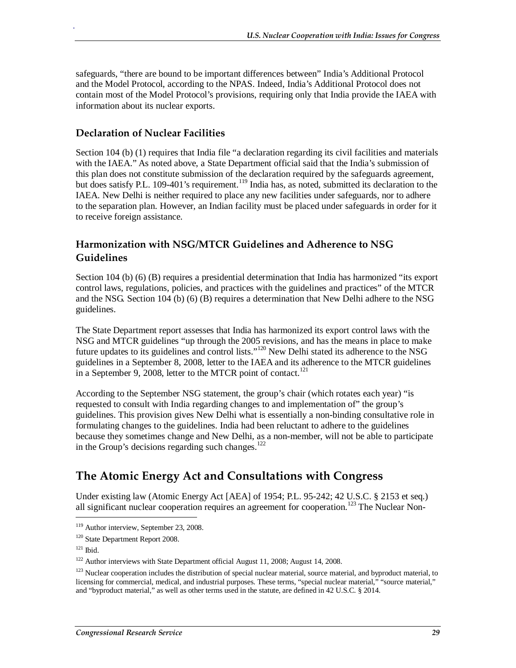safeguards, "there are bound to be important differences between" India's Additional Protocol and the Model Protocol, according to the NPAS. Indeed, India's Additional Protocol does not contain most of the Model Protocol's provisions, requiring only that India provide the IAEA with information about its nuclear exports.

#### **Declaration of Nuclear Facilities**

.

Section 104 (b) (1) requires that India file "a declaration regarding its civil facilities and materials with the IAEA." As noted above, a State Department official said that the India's submission of this plan does not constitute submission of the declaration required by the safeguards agreement, but does satisfy P.L. 109-401's requirement.<sup>119</sup> India has, as noted, submitted its declaration to the IAEA. New Delhi is neither required to place any new facilities under safeguards, nor to adhere to the separation plan. However, an Indian facility must be placed under safeguards in order for it to receive foreign assistance.

#### **Harmonization with NSG/MTCR Guidelines and Adherence to NSG Guidelines**

Section 104 (b) (6) (B) requires a presidential determination that India has harmonized "its export control laws, regulations, policies, and practices with the guidelines and practices" of the MTCR and the NSG. Section 104 (b) (6) (B) requires a determination that New Delhi adhere to the NSG guidelines.

The State Department report assesses that India has harmonized its export control laws with the NSG and MTCR guidelines "up through the 2005 revisions, and has the means in place to make future updates to its guidelines and control lists."<sup>120</sup> New Delhi stated its adherence to the NSG guidelines in a September 8, 2008, letter to the IAEA and its adherence to the MTCR guidelines in a September 9, 2008, letter to the MTCR point of contact.<sup>121</sup>

According to the September NSG statement, the group's chair (which rotates each year) "is requested to consult with India regarding changes to and implementation of" the group's guidelines. This provision gives New Delhi what is essentially a non-binding consultative role in formulating changes to the guidelines. India had been reluctant to adhere to the guidelines because they sometimes change and New Delhi, as a non-member, will not be able to participate in the Group's decisions regarding such changes.<sup>122</sup>

## **The Atomic Energy Act and Consultations with Congress**

Under existing law (Atomic Energy Act [AEA] of 1954; P.L. 95-242; 42 U.S.C. § 2153 et seq.) all significant nuclear cooperation requires an agreement for cooperation.<sup>123</sup> The Nuclear Non-

 $121$  Ibid.

<sup>&</sup>lt;sup>119</sup> Author interview, September 23, 2008.

<sup>&</sup>lt;sup>120</sup> State Department Report 2008.

<sup>&</sup>lt;sup>122</sup> Author interviews with State Department official August 11, 2008; August 14, 2008.

<sup>&</sup>lt;sup>123</sup> Nuclear cooperation includes the distribution of special nuclear material, source material, and byproduct material, to licensing for commercial, medical, and industrial purposes. These terms, "special nuclear material," "source material," and "byproduct material," as well as other terms used in the statute, are defined in 42 U.S.C. § 2014.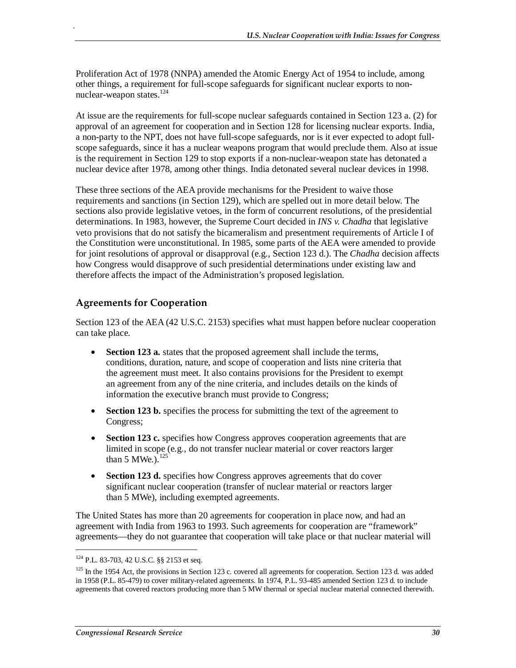Proliferation Act of 1978 (NNPA) amended the Atomic Energy Act of 1954 to include, among other things, a requirement for full-scope safeguards for significant nuclear exports to nonnuclear-weapon states.<sup>124</sup>

At issue are the requirements for full-scope nuclear safeguards contained in Section 123 a. (2) for approval of an agreement for cooperation and in Section 128 for licensing nuclear exports. India, a non-party to the NPT, does not have full-scope safeguards, nor is it ever expected to adopt fullscope safeguards, since it has a nuclear weapons program that would preclude them. Also at issue is the requirement in Section 129 to stop exports if a non-nuclear-weapon state has detonated a nuclear device after 1978, among other things. India detonated several nuclear devices in 1998.

These three sections of the AEA provide mechanisms for the President to waive those requirements and sanctions (in Section 129), which are spelled out in more detail below. The sections also provide legislative vetoes, in the form of concurrent resolutions, of the presidential determinations. In 1983, however, the Supreme Court decided in *INS v. Chadha* that legislative veto provisions that do not satisfy the bicameralism and presentment requirements of Article I of the Constitution were unconstitutional. In 1985, some parts of the AEA were amended to provide for joint resolutions of approval or disapproval (e.g., Section 123 d.). The *Chadha* decision affects how Congress would disapprove of such presidential determinations under existing law and therefore affects the impact of the Administration's proposed legislation.

#### **Agreements for Cooperation**

Section 123 of the AEA (42 U.S.C. 2153) specifies what must happen before nuclear cooperation can take place.

- **Section 123 a.** states that the proposed agreement shall include the terms, conditions, duration, nature, and scope of cooperation and lists nine criteria that the agreement must meet. It also contains provisions for the President to exempt an agreement from any of the nine criteria, and includes details on the kinds of information the executive branch must provide to Congress;
- **Section 123 b.** specifies the process for submitting the text of the agreement to Congress;
- **Section 123 c.** specifies how Congress approves cooperation agreements that are limited in scope (e.g., do not transfer nuclear material or cover reactors larger than 5 MWe. $\hat{L}^{125}$
- **Section 123 d.** specifies how Congress approves agreements that do cover significant nuclear cooperation (transfer of nuclear material or reactors larger than 5 MWe), including exempted agreements.

The United States has more than 20 agreements for cooperation in place now, and had an agreement with India from 1963 to 1993. Such agreements for cooperation are "framework" agreements—they do not guarantee that cooperation will take place or that nuclear material will

<u>.</u>

<sup>&</sup>lt;sup>124</sup> P.L. 83-703, 42 U.S.C. §§ 2153 et seq.

 $125$  In the 1954 Act, the provisions in Section 123 c. covered all agreements for cooperation. Section 123 d. was added in 1958 (P.L. 85-479) to cover military-related agreements. In 1974, P.L. 93-485 amended Section 123 d. to include agreements that covered reactors producing more than 5 MW thermal or special nuclear material connected therewith.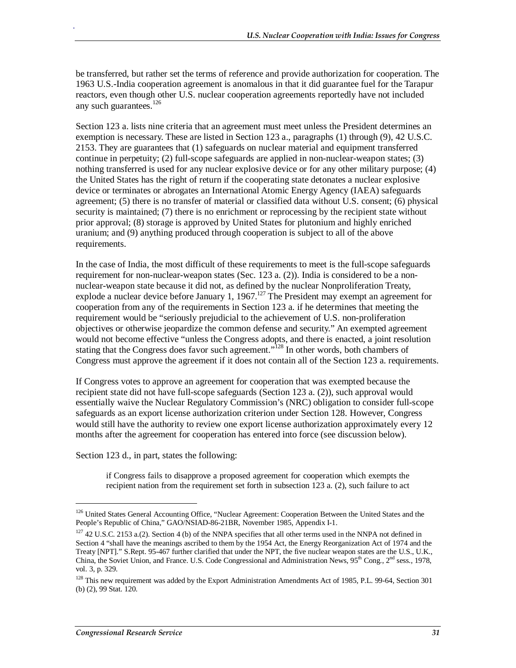be transferred, but rather set the terms of reference and provide authorization for cooperation. The 1963 U.S.-India cooperation agreement is anomalous in that it did guarantee fuel for the Tarapur reactors, even though other U.S. nuclear cooperation agreements reportedly have not included any such guarantees.<sup>126</sup>

Section 123 a. lists nine criteria that an agreement must meet unless the President determines an exemption is necessary. These are listed in Section 123 a., paragraphs (1) through (9), 42 U.S.C. 2153. They are guarantees that (1) safeguards on nuclear material and equipment transferred continue in perpetuity; (2) full-scope safeguards are applied in non-nuclear-weapon states; (3) nothing transferred is used for any nuclear explosive device or for any other military purpose; (4) the United States has the right of return if the cooperating state detonates a nuclear explosive device or terminates or abrogates an International Atomic Energy Agency (IAEA) safeguards agreement; (5) there is no transfer of material or classified data without U.S. consent; (6) physical security is maintained; (7) there is no enrichment or reprocessing by the recipient state without prior approval; (8) storage is approved by United States for plutonium and highly enriched uranium; and (9) anything produced through cooperation is subject to all of the above requirements.

In the case of India, the most difficult of these requirements to meet is the full-scope safeguards requirement for non-nuclear-weapon states (Sec. 123 a. (2)). India is considered to be a nonnuclear-weapon state because it did not, as defined by the nuclear Nonproliferation Treaty, explode a nuclear device before January 1, 1967.<sup>127</sup> The President may exempt an agreement for cooperation from any of the requirements in Section 123 a. if he determines that meeting the requirement would be "seriously prejudicial to the achievement of U.S. non-proliferation objectives or otherwise jeopardize the common defense and security." An exempted agreement would not become effective "unless the Congress adopts, and there is enacted, a joint resolution stating that the Congress does favor such agreement."<sup>128</sup> In other words, both chambers of Congress must approve the agreement if it does not contain all of the Section 123 a. requirements.

If Congress votes to approve an agreement for cooperation that was exempted because the recipient state did not have full-scope safeguards (Section 123 a. (2)), such approval would essentially waive the Nuclear Regulatory Commission's (NRC) obligation to consider full-scope safeguards as an export license authorization criterion under Section 128. However, Congress would still have the authority to review one export license authorization approximately every 12 months after the agreement for cooperation has entered into force (see discussion below).

Section 123 d., in part, states the following:

if Congress fails to disapprove a proposed agreement for cooperation which exempts the recipient nation from the requirement set forth in subsection 123 a. (2), such failure to act

<u>.</u>

<sup>&</sup>lt;sup>126</sup> United States General Accounting Office, "Nuclear Agreement: Cooperation Between the United States and the People's Republic of China," GAO/NSIAD-86-21BR, November 1985, Appendix I-1.

<sup>&</sup>lt;sup>127</sup> 42 U.S.C. 2153 a.(2). Section 4 (b) of the NNPA specifies that all other terms used in the NNPA not defined in Section 4 "shall have the meanings ascribed to them by the 1954 Act, the Energy Reorganization Act of 1974 and the Treaty [NPT]." S.Rept. 95-467 further clarified that under the NPT, the five nuclear weapon states are the U.S., U.K., China, the Soviet Union, and France. U.S. Code Congressional and Administration News,  $95<sup>th</sup>$  Cong.,  $2<sup>nd</sup>$  sess., 1978, vol. 3, p. 329.

<sup>&</sup>lt;sup>128</sup> This new requirement was added by the Export Administration Amendments Act of 1985, P.L. 99-64, Section 301 (b) (2), 99 Stat. 120.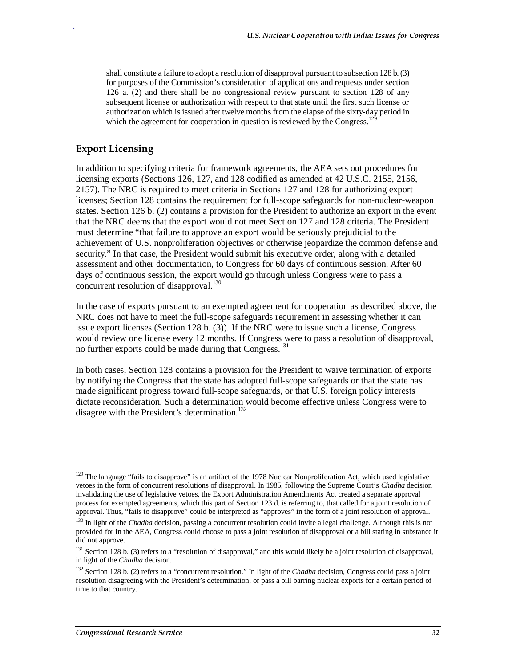shall constitute a failure to adopt a resolution of disapproval pursuant to subsection 128 b. (3) for purposes of the Commission's consideration of applications and requests under section 126 a. (2) and there shall be no congressional review pursuant to section 128 of any subsequent license or authorization with respect to that state until the first such license or authorization which is issued after twelve months from the elapse of the sixty-day period in which the agreement for cooperation in question is reviewed by the Congress.<sup>12</sup>

#### **Export Licensing**

.

In addition to specifying criteria for framework agreements, the AEA sets out procedures for licensing exports (Sections 126, 127, and 128 codified as amended at 42 U.S.C. 2155, 2156, 2157). The NRC is required to meet criteria in Sections 127 and 128 for authorizing export licenses; Section 128 contains the requirement for full-scope safeguards for non-nuclear-weapon states. Section 126 b. (2) contains a provision for the President to authorize an export in the event that the NRC deems that the export would not meet Section 127 and 128 criteria. The President must determine "that failure to approve an export would be seriously prejudicial to the achievement of U.S. nonproliferation objectives or otherwise jeopardize the common defense and security." In that case, the President would submit his executive order, along with a detailed assessment and other documentation, to Congress for 60 days of continuous session. After 60 days of continuous session, the export would go through unless Congress were to pass a concurrent resolution of disapproval. $130$ 

In the case of exports pursuant to an exempted agreement for cooperation as described above, the NRC does not have to meet the full-scope safeguards requirement in assessing whether it can issue export licenses (Section 128 b. (3)). If the NRC were to issue such a license, Congress would review one license every 12 months. If Congress were to pass a resolution of disapproval, no further exports could be made during that Congress.<sup>131</sup>

In both cases, Section 128 contains a provision for the President to waive termination of exports by notifying the Congress that the state has adopted full-scope safeguards or that the state has made significant progress toward full-scope safeguards, or that U.S. foreign policy interests dictate reconsideration. Such a determination would become effective unless Congress were to disagree with the President's determination.<sup>132</sup>

1

 $129$  The language "fails to disapprove" is an artifact of the 1978 Nuclear Nonproliferation Act, which used legislative vetoes in the form of concurrent resolutions of disapproval. In 1985, following the Supreme Court's *Chadha* decision invalidating the use of legislative vetoes, the Export Administration Amendments Act created a separate approval process for exempted agreements, which this part of Section 123 d. is referring to, that called for a joint resolution of approval. Thus, "fails to disapprove" could be interpreted as "approves" in the form of a joint resolution of approval.

<sup>&</sup>lt;sup>130</sup> In light of the *Chadha* decision, passing a concurrent resolution could invite a legal challenge. Although this is not provided for in the AEA, Congress could choose to pass a joint resolution of disapproval or a bill stating in substance it did not approve.

<sup>&</sup>lt;sup>131</sup> Section 128 b. (3) refers to a "resolution of disapproval," and this would likely be a joint resolution of disapproval, in light of the *Chadha* decision.

<sup>&</sup>lt;sup>132</sup> Section 128 b. (2) refers to a "concurrent resolution." In light of the *Chadha* decision, Congress could pass a joint resolution disagreeing with the President's determination, or pass a bill barring nuclear exports for a certain period of time to that country.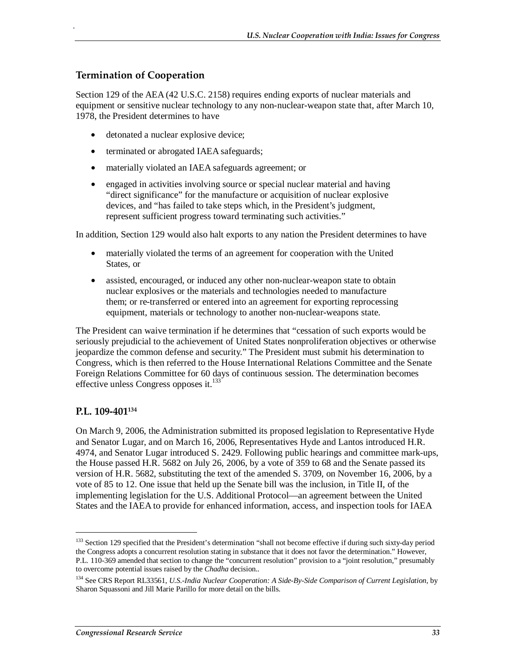#### **Termination of Cooperation**

.

Section 129 of the AEA (42 U.S.C. 2158) requires ending exports of nuclear materials and equipment or sensitive nuclear technology to any non-nuclear-weapon state that, after March 10, 1978, the President determines to have

- detonated a nuclear explosive device;
- terminated or abrogated IAEA safeguards;
- materially violated an IAEA safeguards agreement; or
- engaged in activities involving source or special nuclear material and having "direct significance" for the manufacture or acquisition of nuclear explosive devices, and "has failed to take steps which, in the President's judgment, represent sufficient progress toward terminating such activities."

In addition, Section 129 would also halt exports to any nation the President determines to have

- materially violated the terms of an agreement for cooperation with the United States, or
- assisted, encouraged, or induced any other non-nuclear-weapon state to obtain nuclear explosives or the materials and technologies needed to manufacture them; or re-transferred or entered into an agreement for exporting reprocessing equipment, materials or technology to another non-nuclear-weapons state.

The President can waive termination if he determines that "cessation of such exports would be seriously prejudicial to the achievement of United States nonproliferation objectives or otherwise jeopardize the common defense and security." The President must submit his determination to Congress, which is then referred to the House International Relations Committee and the Senate Foreign Relations Committee for 60 days of continuous session. The determination becomes effective unless Congress opposes it.<sup>133</sup>

#### P.L. 109-401<sup>134</sup>

<u>.</u>

On March 9, 2006, the Administration submitted its proposed legislation to Representative Hyde and Senator Lugar, and on March 16, 2006, Representatives Hyde and Lantos introduced H.R. 4974, and Senator Lugar introduced S. 2429. Following public hearings and committee mark-ups, the House passed H.R. 5682 on July 26, 2006, by a vote of 359 to 68 and the Senate passed its version of H.R. 5682, substituting the text of the amended S. 3709, on November 16, 2006, by a vote of 85 to 12. One issue that held up the Senate bill was the inclusion, in Title II, of the implementing legislation for the U.S. Additional Protocol—an agreement between the United States and the IAEA to provide for enhanced information, access, and inspection tools for IAEA

<sup>&</sup>lt;sup>133</sup> Section 129 specified that the President's determination "shall not become effective if during such sixty-day period the Congress adopts a concurrent resolution stating in substance that it does not favor the determination." However, P.L. 110-369 amended that section to change the "concurrent resolution" provision to a "joint resolution," presumably to overcome potential issues raised by the *Chadha* decision..

<sup>134</sup> See CRS Report RL33561, *U.S.-India Nuclear Cooperation: A Side-By-Side Comparison of Current Legislation*, by Sharon Squassoni and Jill Marie Parillo for more detail on the bills.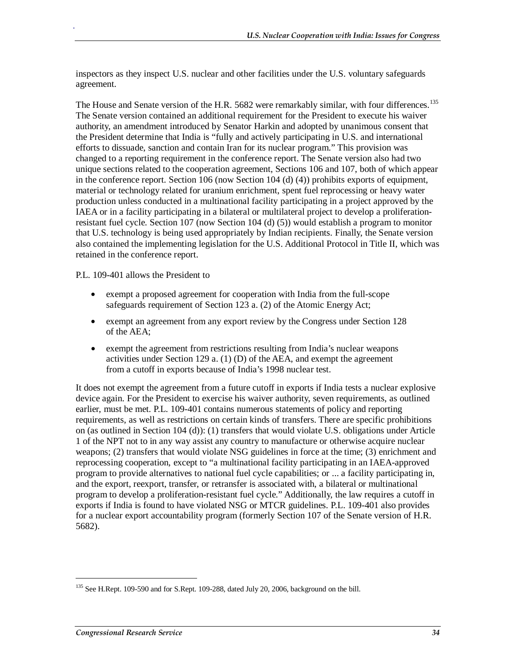inspectors as they inspect U.S. nuclear and other facilities under the U.S. voluntary safeguards agreement.

The House and Senate version of the H.R. 5682 were remarkably similar, with four differences.<sup>135</sup> The Senate version contained an additional requirement for the President to execute his waiver authority, an amendment introduced by Senator Harkin and adopted by unanimous consent that the President determine that India is "fully and actively participating in U.S. and international efforts to dissuade, sanction and contain Iran for its nuclear program." This provision was changed to a reporting requirement in the conference report. The Senate version also had two unique sections related to the cooperation agreement, Sections 106 and 107, both of which appear in the conference report. Section 106 (now Section 104 (d) (4)) prohibits exports of equipment, material or technology related for uranium enrichment, spent fuel reprocessing or heavy water production unless conducted in a multinational facility participating in a project approved by the IAEA or in a facility participating in a bilateral or multilateral project to develop a proliferationresistant fuel cycle. Section 107 (now Section 104 (d) (5)) would establish a program to monitor that U.S. technology is being used appropriately by Indian recipients. Finally, the Senate version also contained the implementing legislation for the U.S. Additional Protocol in Title II, which was retained in the conference report.

P.L. 109-401 allows the President to

- exempt a proposed agreement for cooperation with India from the full-scope safeguards requirement of Section 123 a. (2) of the Atomic Energy Act;
- exempt an agreement from any export review by the Congress under Section 128 of the AEA;
- exempt the agreement from restrictions resulting from India's nuclear weapons activities under Section 129 a. (1) (D) of the AEA, and exempt the agreement from a cutoff in exports because of India's 1998 nuclear test.

It does not exempt the agreement from a future cutoff in exports if India tests a nuclear explosive device again. For the President to exercise his waiver authority, seven requirements, as outlined earlier, must be met. P.L. 109-401 contains numerous statements of policy and reporting requirements, as well as restrictions on certain kinds of transfers. There are specific prohibitions on (as outlined in Section 104 (d)): (1) transfers that would violate U.S. obligations under Article 1 of the NPT not to in any way assist any country to manufacture or otherwise acquire nuclear weapons; (2) transfers that would violate NSG guidelines in force at the time; (3) enrichment and reprocessing cooperation, except to "a multinational facility participating in an IAEA-approved program to provide alternatives to national fuel cycle capabilities; or ... a facility participating in, and the export, reexport, transfer, or retransfer is associated with, a bilateral or multinational program to develop a proliferation-resistant fuel cycle." Additionally, the law requires a cutoff in exports if India is found to have violated NSG or MTCR guidelines. P.L. 109-401 also provides for a nuclear export accountability program (formerly Section 107 of the Senate version of H.R. 5682).

1

<sup>&</sup>lt;sup>135</sup> See H.Rept. 109-590 and for S.Rept. 109-288, dated July 20, 2006, background on the bill.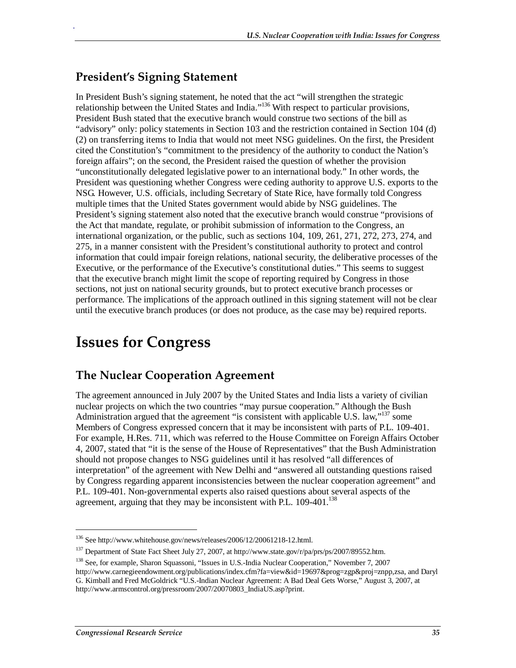# **President's Signing Statement**

.

In President Bush's signing statement, he noted that the act "will strengthen the strategic relationship between the United States and India."<sup>136</sup> With respect to particular provisions, President Bush stated that the executive branch would construe two sections of the bill as "advisory" only: policy statements in Section 103 and the restriction contained in Section 104 (d) (2) on transferring items to India that would not meet NSG guidelines. On the first, the President cited the Constitution's "commitment to the presidency of the authority to conduct the Nation's foreign affairs"; on the second, the President raised the question of whether the provision "unconstitutionally delegated legislative power to an international body." In other words, the President was questioning whether Congress were ceding authority to approve U.S. exports to the NSG. However, U.S. officials, including Secretary of State Rice, have formally told Congress multiple times that the United States government would abide by NSG guidelines. The President's signing statement also noted that the executive branch would construe "provisions of the Act that mandate, regulate, or prohibit submission of information to the Congress, an international organization, or the public, such as sections 104, 109, 261, 271, 272, 273, 274, and 275, in a manner consistent with the President's constitutional authority to protect and control information that could impair foreign relations, national security, the deliberative processes of the Executive, or the performance of the Executive's constitutional duties." This seems to suggest that the executive branch might limit the scope of reporting required by Congress in those sections, not just on national security grounds, but to protect executive branch processes or performance. The implications of the approach outlined in this signing statement will not be clear until the executive branch produces (or does not produce, as the case may be) required reports.

# **Issues for Congress**

## **The Nuclear Cooperation Agreement**

The agreement announced in July 2007 by the United States and India lists a variety of civilian nuclear projects on which the two countries "may pursue cooperation." Although the Bush Administration argued that the agreement "is consistent with applicable U.S. law,"137 some Members of Congress expressed concern that it may be inconsistent with parts of P.L. 109-401. For example, H.Res. 711, which was referred to the House Committee on Foreign Affairs October 4, 2007, stated that "it is the sense of the House of Representatives" that the Bush Administration should not propose changes to NSG guidelines until it has resolved "all differences of interpretation" of the agreement with New Delhi and "answered all outstanding questions raised by Congress regarding apparent inconsistencies between the nuclear cooperation agreement" and P.L. 109-401. Non-governmental experts also raised questions about several aspects of the agreement, arguing that they may be inconsistent with P.L.  $109-401$ .<sup>138</sup>

1

<sup>136</sup> See http://www.whitehouse.gov/news/releases/2006/12/20061218-12.html.

<sup>&</sup>lt;sup>137</sup> Department of State Fact Sheet July 27, 2007, at http://www.state.gov/r/pa/prs/ps/2007/89552.htm.

<sup>&</sup>lt;sup>138</sup> See, for example, Sharon Squassoni, "Issues in U.S.-India Nuclear Cooperation," November 7, 2007 http://www.carnegieendowment.org/publications/index.cfm?fa=view&id=19697&prog=zgp&proj=znpp,zsa, and Daryl G. Kimball and Fred McGoldrick "U.S.-Indian Nuclear Agreement: A Bad Deal Gets Worse," August 3, 2007, at http://www.armscontrol.org/pressroom/2007/20070803\_IndiaUS.asp?print.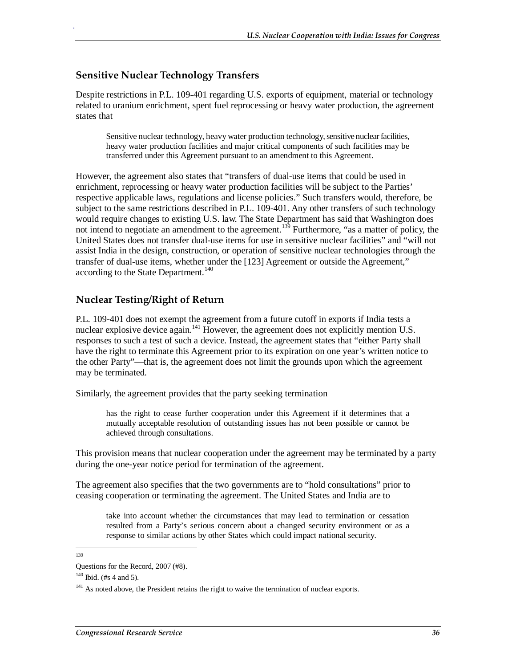#### **Sensitive Nuclear Technology Transfers**

.

Despite restrictions in P.L. 109-401 regarding U.S. exports of equipment, material or technology related to uranium enrichment, spent fuel reprocessing or heavy water production, the agreement states that

Sensitive nuclear technology, heavy water production technology, sensitive nuclear facilities, heavy water production facilities and major critical components of such facilities may be transferred under this Agreement pursuant to an amendment to this Agreement.

However, the agreement also states that "transfers of dual-use items that could be used in enrichment, reprocessing or heavy water production facilities will be subject to the Parties' respective applicable laws, regulations and license policies." Such transfers would, therefore, be subject to the same restrictions described in P.L. 109-401. Any other transfers of such technology would require changes to existing U.S. law. The State Department has said that Washington does not intend to negotiate an amendment to the agreement.<sup>139</sup> Furthermore, "as a matter of policy, the United States does not transfer dual-use items for use in sensitive nuclear facilities" and "will not assist India in the design, construction, or operation of sensitive nuclear technologies through the transfer of dual-use items, whether under the [123] Agreement or outside the Agreement," according to the State Department.<sup>140</sup>

#### **Nuclear Testing/Right of Return**

P.L. 109-401 does not exempt the agreement from a future cutoff in exports if India tests a nuclear explosive device again.<sup>141</sup> However, the agreement does not explicitly mention U.S. responses to such a test of such a device. Instead, the agreement states that "either Party shall have the right to terminate this Agreement prior to its expiration on one year's written notice to the other Party"—that is, the agreement does not limit the grounds upon which the agreement may be terminated.

Similarly, the agreement provides that the party seeking termination

has the right to cease further cooperation under this Agreement if it determines that a mutually acceptable resolution of outstanding issues has not been possible or cannot be achieved through consultations.

This provision means that nuclear cooperation under the agreement may be terminated by a party during the one-year notice period for termination of the agreement.

The agreement also specifies that the two governments are to "hold consultations" prior to ceasing cooperation or terminating the agreement. The United States and India are to

take into account whether the circumstances that may lead to termination or cessation resulted from a Party's serious concern about a changed security environment or as a response to similar actions by other States which could impact national security.

<sup>1</sup> 139

Questions for the Record, 2007 (#8).

 $140$  Ibid. (#s 4 and 5).

<sup>&</sup>lt;sup>141</sup> As noted above, the President retains the right to waive the termination of nuclear exports.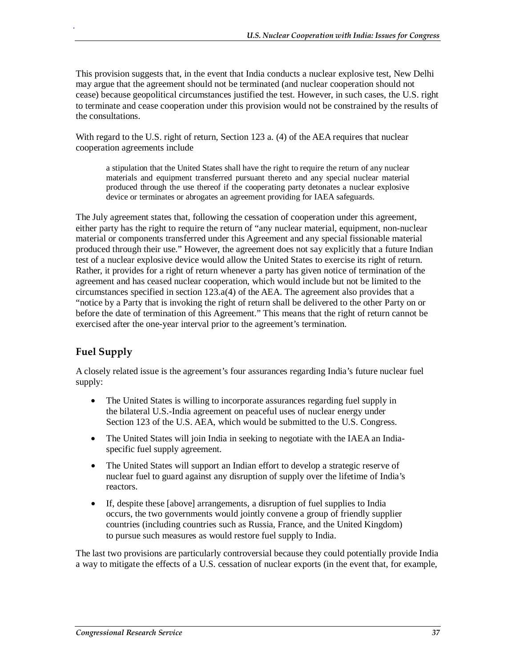This provision suggests that, in the event that India conducts a nuclear explosive test, New Delhi may argue that the agreement should not be terminated (and nuclear cooperation should not cease) because geopolitical circumstances justified the test. However, in such cases, the U.S. right to terminate and cease cooperation under this provision would not be constrained by the results of the consultations.

With regard to the U.S. right of return, Section 123 a. (4) of the AEA requires that nuclear cooperation agreements include

a stipulation that the United States shall have the right to require the return of any nuclear materials and equipment transferred pursuant thereto and any special nuclear material produced through the use thereof if the cooperating party detonates a nuclear explosive device or terminates or abrogates an agreement providing for IAEA safeguards.

The July agreement states that, following the cessation of cooperation under this agreement, either party has the right to require the return of "any nuclear material, equipment, non-nuclear material or components transferred under this Agreement and any special fissionable material produced through their use." However, the agreement does not say explicitly that a future Indian test of a nuclear explosive device would allow the United States to exercise its right of return. Rather, it provides for a right of return whenever a party has given notice of termination of the agreement and has ceased nuclear cooperation, which would include but not be limited to the circumstances specified in section 123.a(4) of the AEA. The agreement also provides that a "notice by a Party that is invoking the right of return shall be delivered to the other Party on or before the date of termination of this Agreement." This means that the right of return cannot be exercised after the one-year interval prior to the agreement's termination.

### **Fuel Supply**

.

A closely related issue is the agreement's four assurances regarding India's future nuclear fuel supply:

- The United States is willing to incorporate assurances regarding fuel supply in the bilateral U.S.-India agreement on peaceful uses of nuclear energy under Section 123 of the U.S. AEA, which would be submitted to the U.S. Congress.
- The United States will join India in seeking to negotiate with the IAEA an Indiaspecific fuel supply agreement.
- The United States will support an Indian effort to develop a strategic reserve of nuclear fuel to guard against any disruption of supply over the lifetime of India's reactors.
- If, despite these [above] arrangements, a disruption of fuel supplies to India occurs, the two governments would jointly convene a group of friendly supplier countries (including countries such as Russia, France, and the United Kingdom) to pursue such measures as would restore fuel supply to India.

The last two provisions are particularly controversial because they could potentially provide India a way to mitigate the effects of a U.S. cessation of nuclear exports (in the event that, for example,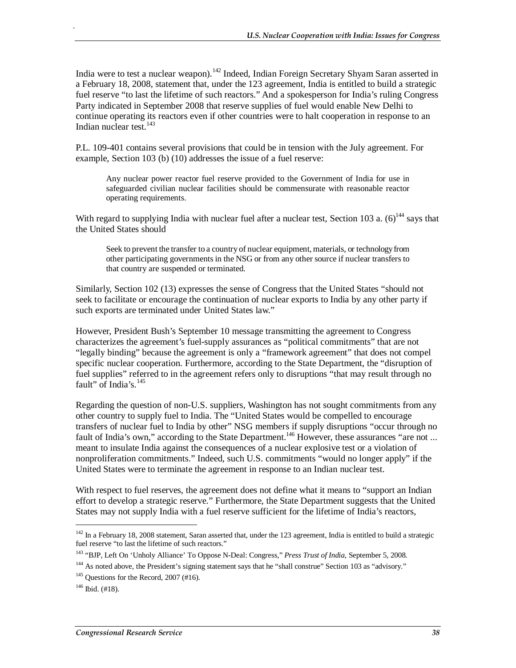India were to test a nuclear weapon).<sup>142</sup> Indeed, Indian Foreign Secretary Shyam Saran asserted in a February 18, 2008, statement that, under the 123 agreement, India is entitled to build a strategic fuel reserve "to last the lifetime of such reactors." And a spokesperson for India's ruling Congress Party indicated in September 2008 that reserve supplies of fuel would enable New Delhi to continue operating its reactors even if other countries were to halt cooperation in response to an Indian nuclear test. $143$ 

P.L. 109-401 contains several provisions that could be in tension with the July agreement. For example, Section 103 (b) (10) addresses the issue of a fuel reserve:

Any nuclear power reactor fuel reserve provided to the Government of India for use in safeguarded civilian nuclear facilities should be commensurate with reasonable reactor operating requirements.

With regard to supplying India with nuclear fuel after a nuclear test, Section 103 a.  $(6)^{144}$  says that the United States should

Seek to prevent the transfer to a country of nuclear equipment, materials, or technology from other participating governments in the NSG or from any other source if nuclear transfers to that country are suspended or terminated.

Similarly, Section 102 (13) expresses the sense of Congress that the United States "should not seek to facilitate or encourage the continuation of nuclear exports to India by any other party if such exports are terminated under United States law."

However, President Bush's September 10 message transmitting the agreement to Congress characterizes the agreement's fuel-supply assurances as "political commitments" that are not "legally binding" because the agreement is only a "framework agreement" that does not compel specific nuclear cooperation. Furthermore, according to the State Department, the "disruption of fuel supplies" referred to in the agreement refers only to disruptions "that may result through no fault" of India's.<sup>145</sup>

Regarding the question of non-U.S. suppliers, Washington has not sought commitments from any other country to supply fuel to India. The "United States would be compelled to encourage transfers of nuclear fuel to India by other" NSG members if supply disruptions "occur through no fault of India's own," according to the State Department.<sup>146</sup> However, these assurances "are not ... meant to insulate India against the consequences of a nuclear explosive test or a violation of nonproliferation commitments." Indeed, such U.S. commitments "would no longer apply" if the United States were to terminate the agreement in response to an Indian nuclear test.

With respect to fuel reserves, the agreement does not define what it means to "support an Indian effort to develop a strategic reserve." Furthermore, the State Department suggests that the United States may not supply India with a fuel reserve sufficient for the lifetime of India's reactors,

1

<sup>&</sup>lt;sup>142</sup> In a February 18, 2008 statement, Saran asserted that, under the 123 agreement. India is entitled to build a strategic fuel reserve "to last the lifetime of such reactors."

<sup>143 &</sup>quot;BJP, Left On 'Unholy Alliance' To Oppose N-Deal: Congress," *Press Trust of India*, September 5, 2008.

<sup>&</sup>lt;sup>144</sup> As noted above, the President's signing statement says that he "shall construe" Section 103 as "advisory."

 $145$  Questions for the Record, 2007 (#16).

 $146$  Ibid. (#18).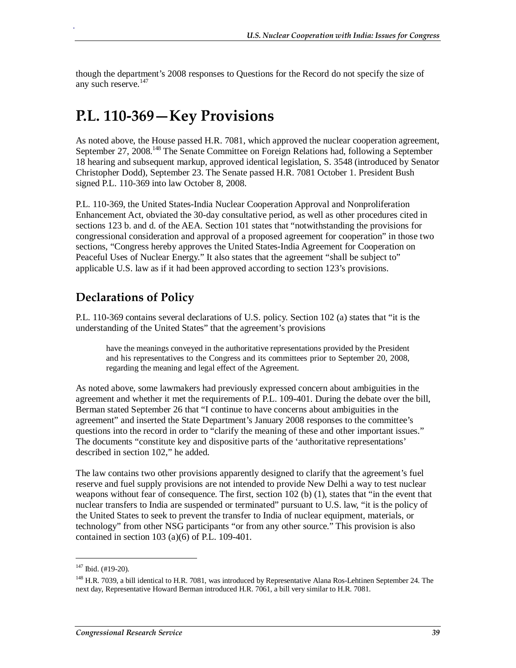though the department's 2008 responses to Questions for the Record do not specify the size of any such reserve.<sup>147</sup>

# **P.L. 110-369—Key Provisions**

As noted above, the House passed H.R. 7081, which approved the nuclear cooperation agreement, September 27, 2008.<sup>148</sup> The Senate Committee on Foreign Relations had, following a September 18 hearing and subsequent markup, approved identical legislation, S. 3548 (introduced by Senator Christopher Dodd), September 23. The Senate passed H.R. 7081 October 1. President Bush signed P.L. 110-369 into law October 8, 2008.

P.L. 110-369, the United States-India Nuclear Cooperation Approval and Nonproliferation Enhancement Act, obviated the 30-day consultative period, as well as other procedures cited in sections 123 b. and d. of the AEA. Section 101 states that "notwithstanding the provisions for congressional consideration and approval of a proposed agreement for cooperation" in those two sections, "Congress hereby approves the United States-India Agreement for Cooperation on Peaceful Uses of Nuclear Energy." It also states that the agreement "shall be subject to" applicable U.S. law as if it had been approved according to section 123's provisions.

### **Declarations of Policy**

P.L. 110-369 contains several declarations of U.S. policy. Section 102 (a) states that "it is the understanding of the United States" that the agreement's provisions

have the meanings conveyed in the authoritative representations provided by the President and his representatives to the Congress and its committees prior to September 20, 2008, regarding the meaning and legal effect of the Agreement.

As noted above, some lawmakers had previously expressed concern about ambiguities in the agreement and whether it met the requirements of P.L. 109-401. During the debate over the bill, Berman stated September 26 that "I continue to have concerns about ambiguities in the agreement" and inserted the State Department's January 2008 responses to the committee's questions into the record in order to "clarify the meaning of these and other important issues." The documents "constitute key and dispositive parts of the 'authoritative representations' described in section 102," he added.

The law contains two other provisions apparently designed to clarify that the agreement's fuel reserve and fuel supply provisions are not intended to provide New Delhi a way to test nuclear weapons without fear of consequence. The first, section 102 (b) (1), states that "in the event that nuclear transfers to India are suspended or terminated" pursuant to U.S. law, "it is the policy of the United States to seek to prevent the transfer to India of nuclear equipment, materials, or technology" from other NSG participants "or from any other source." This provision is also contained in section 103 (a)(6) of P.L. 109-401.

1

<sup>147</sup> Ibid. (#19-20).

<sup>&</sup>lt;sup>148</sup> H.R. 7039, a bill identical to H.R. 7081, was introduced by Representative Alana Ros-Lehtinen September 24. The next day, Representative Howard Berman introduced H.R. 7061, a bill very similar to H.R. 7081.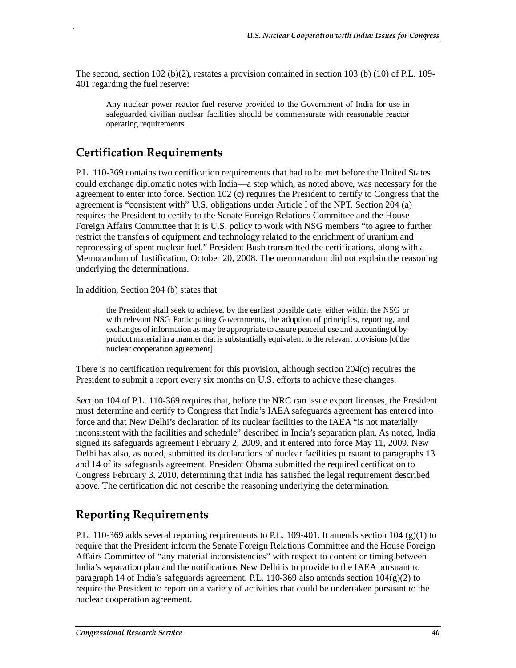The second, section 102 (b)(2), restates a provision contained in section 103 (b) (10) of P.L. 109- 401 regarding the fuel reserve:

Any nuclear power reactor fuel reserve provided to the Government of India for use in safeguarded civilian nuclear facilities should be commensurate with reasonable reactor operating requirements.

# **Certification Requirements**

.

P.L. 110-369 contains two certification requirements that had to be met before the United States could exchange diplomatic notes with India—a step which, as noted above, was necessary for the agreement to enter into force. Section 102 (c) requires the President to certify to Congress that the agreement is "consistent with" U.S. obligations under Article I of the NPT. Section 204 (a) requires the President to certify to the Senate Foreign Relations Committee and the House Foreign Affairs Committee that it is U.S. policy to work with NSG members "to agree to further restrict the transfers of equipment and technology related to the enrichment of uranium and reprocessing of spent nuclear fuel." President Bush transmitted the certifications, along with a Memorandum of Justification, October 20, 2008. The memorandum did not explain the reasoning underlying the determinations.

In addition, Section 204 (b) states that

the President shall seek to achieve, by the earliest possible date, either within the NSG or with relevant NSG Participating Governments, the adoption of principles, reporting, and exchanges of information as may be appropriate to assure peaceful use and accounting of byproduct material in a manner that is substantially equivalent to the relevant provisions [of the nuclear cooperation agreement].

There is no certification requirement for this provision, although section 204(c) requires the President to submit a report every six months on U.S. efforts to achieve these changes.

Section 104 of P.L. 110-369 requires that, before the NRC can issue export licenses, the President must determine and certify to Congress that India's IAEA safeguards agreement has entered into force and that New Delhi's declaration of its nuclear facilities to the IAEA "is not materially inconsistent with the facilities and schedule" described in India's separation plan. As noted, India signed its safeguards agreement February 2, 2009, and it entered into force May 11, 2009. New Delhi has also, as noted, submitted its declarations of nuclear facilities pursuant to paragraphs 13 and 14 of its safeguards agreement. President Obama submitted the required certification to Congress February 3, 2010, determining that India has satisfied the legal requirement described above. The certification did not describe the reasoning underlying the determination.

# **Reporting Requirements**

P.L. 110-369 adds several reporting requirements to P.L. 109-401. It amends section 104 (g)(1) to require that the President inform the Senate Foreign Relations Committee and the House Foreign Affairs Committee of "any material inconsistencies" with respect to content or timing between India's separation plan and the notifications New Delhi is to provide to the IAEA pursuant to paragraph 14 of India's safeguards agreement. P.L. 110-369 also amends section  $104(g)(2)$  to require the President to report on a variety of activities that could be undertaken pursuant to the nuclear cooperation agreement.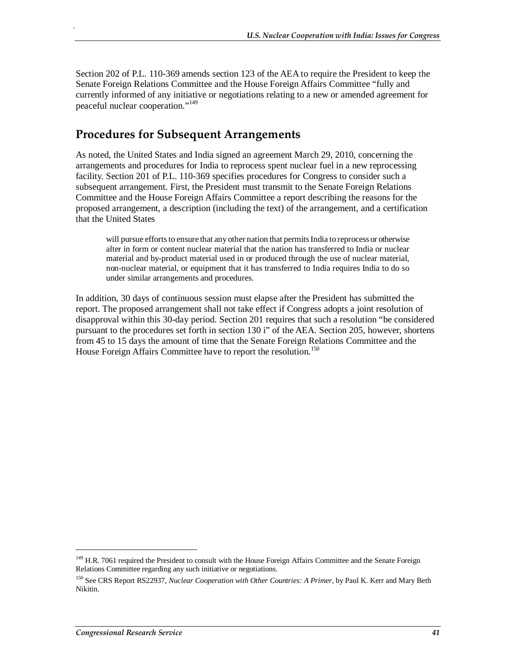Section 202 of P.L. 110-369 amends section 123 of the AEA to require the President to keep the Senate Foreign Relations Committee and the House Foreign Affairs Committee "fully and currently informed of any initiative or negotiations relating to a new or amended agreement for peaceful nuclear cooperation."<sup>149</sup>

### **Procedures for Subsequent Arrangements**

As noted, the United States and India signed an agreement March 29, 2010, concerning the arrangements and procedures for India to reprocess spent nuclear fuel in a new reprocessing facility. Section 201 of P.L. 110-369 specifies procedures for Congress to consider such a subsequent arrangement. First, the President must transmit to the Senate Foreign Relations Committee and the House Foreign Affairs Committee a report describing the reasons for the proposed arrangement, a description (including the text) of the arrangement, and a certification that the United States

will pursue efforts to ensure that any other nation that permits India to reprocess or otherwise alter in form or content nuclear material that the nation has transferred to India or nuclear material and by-product material used in or produced through the use of nuclear material, non-nuclear material, or equipment that it has transferred to India requires India to do so under similar arrangements and procedures.

In addition, 30 days of continuous session must elapse after the President has submitted the report. The proposed arrangement shall not take effect if Congress adopts a joint resolution of disapproval within this 30-day period. Section 201 requires that such a resolution "be considered pursuant to the procedures set forth in section 130 i" of the AEA. Section 205, however, shortens from 45 to 15 days the amount of time that the Senate Foreign Relations Committee and the House Foreign Affairs Committee have to report the resolution.<sup>150</sup>

<u>.</u>

<sup>&</sup>lt;sup>149</sup> H.R. 7061 required the President to consult with the House Foreign Affairs Committee and the Senate Foreign Relations Committee regarding any such initiative or negotiations.

<sup>&</sup>lt;sup>150</sup> See CRS Report RS22937, *Nuclear Cooperation with Other Countries: A Primer*, by Paul K. Kerr and Mary Beth Nikitin.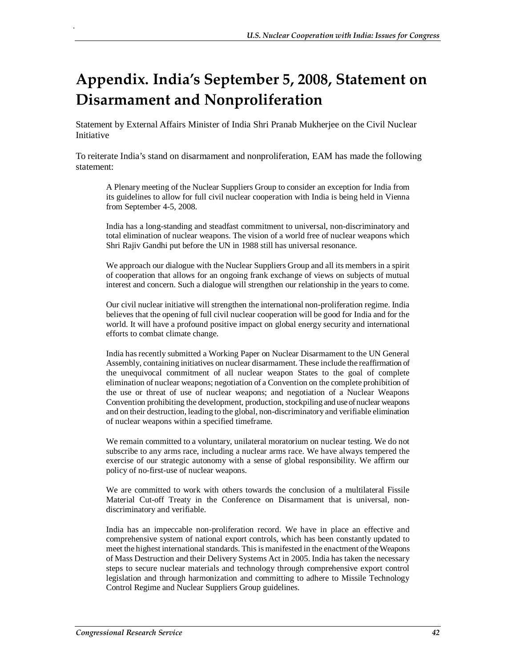# **Appendix. India's September 5, 2008, Statement on Disarmament and Nonproliferation**

Statement by External Affairs Minister of India Shri Pranab Mukherjee on the Civil Nuclear Initiative

To reiterate India's stand on disarmament and nonproliferation, EAM has made the following statement:

A Plenary meeting of the Nuclear Suppliers Group to consider an exception for India from its guidelines to allow for full civil nuclear cooperation with India is being held in Vienna from September 4-5, 2008.

India has a long-standing and steadfast commitment to universal, non-discriminatory and total elimination of nuclear weapons. The vision of a world free of nuclear weapons which Shri Rajiv Gandhi put before the UN in 1988 still has universal resonance.

We approach our dialogue with the Nuclear Suppliers Group and all its members in a spirit of cooperation that allows for an ongoing frank exchange of views on subjects of mutual interest and concern. Such a dialogue will strengthen our relationship in the years to come.

Our civil nuclear initiative will strengthen the international non-proliferation regime. India believes that the opening of full civil nuclear cooperation will be good for India and for the world. It will have a profound positive impact on global energy security and international efforts to combat climate change.

India has recently submitted a Working Paper on Nuclear Disarmament to the UN General Assembly, containing initiatives on nuclear disarmament. These include the reaffirmation of the unequivocal commitment of all nuclear weapon States to the goal of complete elimination of nuclear weapons; negotiation of a Convention on the complete prohibition of the use or threat of use of nuclear weapons; and negotiation of a Nuclear Weapons Convention prohibiting the development, production, stockpiling and use of nuclear weapons and on their destruction, leading to the global, non-discriminatory and verifiable elimination of nuclear weapons within a specified timeframe.

We remain committed to a voluntary, unilateral moratorium on nuclear testing. We do not subscribe to any arms race, including a nuclear arms race. We have always tempered the exercise of our strategic autonomy with a sense of global responsibility. We affirm our policy of no-first-use of nuclear weapons.

We are committed to work with others towards the conclusion of a multilateral Fissile Material Cut-off Treaty in the Conference on Disarmament that is universal, nondiscriminatory and verifiable.

India has an impeccable non-proliferation record. We have in place an effective and comprehensive system of national export controls, which has been constantly updated to meet the highest international standards. This is manifested in the enactment of the Weapons of Mass Destruction and their Delivery Systems Act in 2005. India has taken the necessary steps to secure nuclear materials and technology through comprehensive export control legislation and through harmonization and committing to adhere to Missile Technology Control Regime and Nuclear Suppliers Group guidelines.